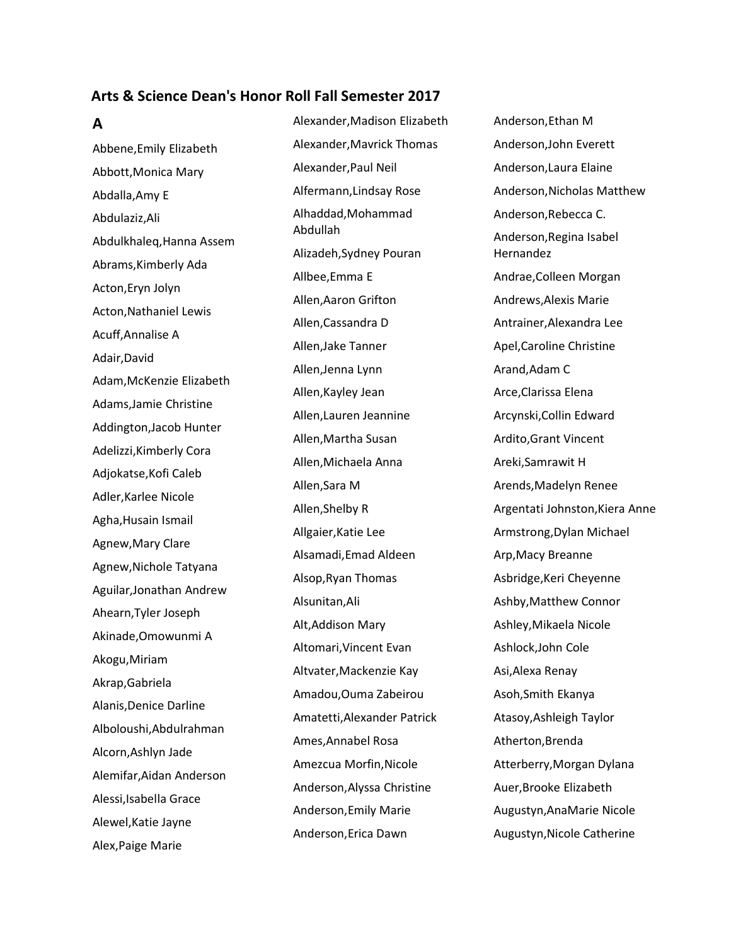### **Arts & Science Dean's Honor Roll Fall Semester 2017**

#### **A**

Abbene,Emily Elizabeth Abbott,Monica Mary Abdalla,Amy E Abdulaziz,Ali Abdulkhaleq,Hanna Assem Abrams,Kimberly Ada Acton,Eryn Jolyn Acton,Nathaniel Lewis Acuff,Annalise A Adair,David Adam,McKenzie Elizabeth Adams,Jamie Christine Addington,Jacob Hunter Adelizzi,Kimberly Cora Adjokatse,Kofi Caleb Adler,Karlee Nicole Agha,Husain Ismail Agnew,Mary Clare Agnew,Nichole Tatyana Aguilar,Jonathan Andrew Ahearn,Tyler Joseph Akinade,Omowunmi A Akogu,Miriam Akrap,Gabriela Alanis,Denice Darline Alboloushi,Abdulrahman Alcorn,Ashlyn Jade Alemifar,Aidan Anderson Alessi,Isabella Grace Alewel,Katie Jayne Alex,Paige Marie

Alexander,Madison Elizabeth Alexander,Mavrick Thomas Alexander,Paul Neil Alfermann,Lindsay Rose Alhaddad,Mohammad Abdullah Alizadeh,Sydney Pouran Allbee,Emma E Allen,Aaron Grifton Allen,Cassandra D Allen,Jake Tanner Allen,Jenna Lynn Allen,Kayley Jean Allen,Lauren Jeannine Allen,Martha Susan Allen,Michaela Anna Allen,Sara M Allen,Shelby R Allgaier,Katie Lee Alsamadi,Emad Aldeen Alsop,Ryan Thomas Alsunitan,Ali Alt,Addison Mary Altomari,Vincent Evan Altvater,Mackenzie Kay Amadou,Ouma Zabeirou Amatetti,Alexander Patrick Ames,Annabel Rosa Amezcua Morfin,Nicole Anderson,Alyssa Christine Anderson,Emily Marie Anderson,Erica Dawn

Anderson,Ethan M Anderson,John Everett Anderson,Laura Elaine Anderson,Nicholas Matthew Anderson,Rebecca C. Anderson,Regina Isabel Hernandez Andrae,Colleen Morgan Andrews,Alexis Marie Antrainer,Alexandra Lee Apel,Caroline Christine Arand,Adam C Arce,Clarissa Elena Arcynski,Collin Edward Ardito,Grant Vincent Areki,Samrawit H Arends,Madelyn Renee Argentati Johnston,Kiera Anne Armstrong,Dylan Michael Arp,Macy Breanne Asbridge,Keri Cheyenne Ashby,Matthew Connor Ashley,Mikaela Nicole Ashlock,John Cole Asi,Alexa Renay Asoh,Smith Ekanya Atasoy,Ashleigh Taylor Atherton,Brenda Atterberry,Morgan Dylana Auer,Brooke Elizabeth Augustyn,AnaMarie Nicole Augustyn,Nicole Catherine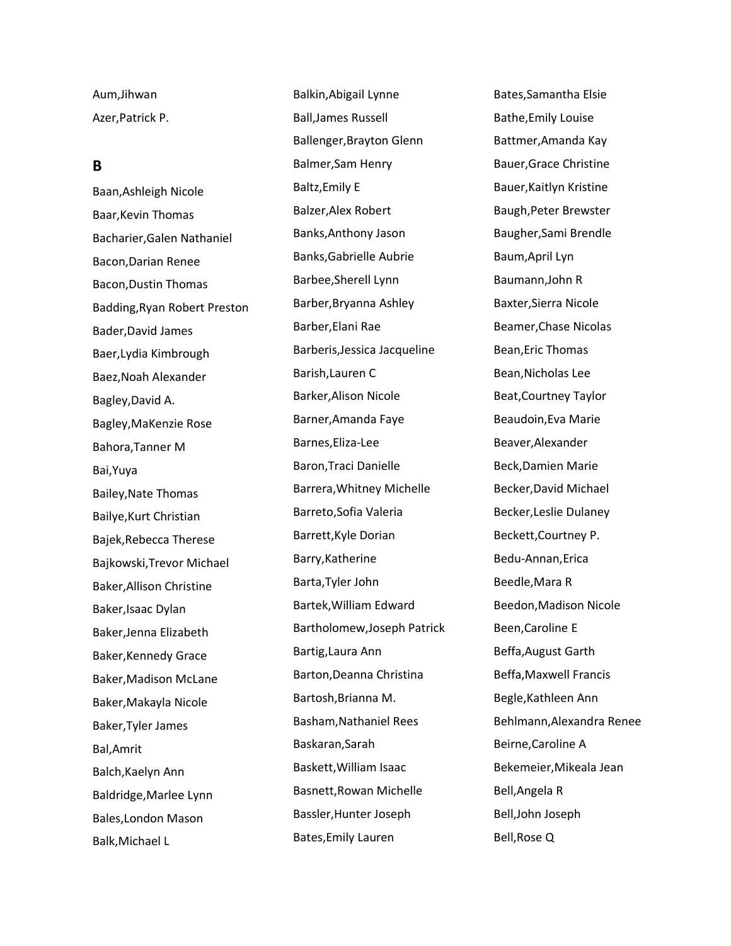Aum,Jihwan Azer,Patrick P.

## **B**

Baan,Ashleigh Nicole Baar,Kevin Thomas Bacharier,Galen Nathaniel Bacon,Darian Renee Bacon,Dustin Thomas Badding,Ryan Robert Preston Bader,David James Baer,Lydia Kimbrough Baez,Noah Alexander Bagley,David A. Bagley,MaKenzie Rose Bahora,Tanner M Bai,Yuya Bailey,Nate Thomas Bailye,Kurt Christian Bajek,Rebecca Therese Bajkowski,Trevor Michael Baker,Allison Christine Baker,Isaac Dylan Baker,Jenna Elizabeth Baker,Kennedy Grace Baker,Madison McLane Baker,Makayla Nicole Baker,Tyler James Bal,Amrit Balch,Kaelyn Ann Baldridge,Marlee Lynn Bales,London Mason Balk,Michael L

Balkin,Abigail Lynne Ball,James Russell Ballenger,Brayton Glenn Balmer,Sam Henry Baltz,Emily E Balzer,Alex Robert Banks,Anthony Jason Banks,Gabrielle Aubrie Barbee,Sherell Lynn Barber,Bryanna Ashley Barber,Elani Rae Barberis,Jessica Jacqueline Barish,Lauren C Barker,Alison Nicole Barner,Amanda Faye Barnes,Eliza-Lee Baron,Traci Danielle Barrera,Whitney Michelle Barreto,Sofia Valeria Barrett,Kyle Dorian Barry,Katherine Barta,Tyler John Bartek,William Edward Bartholomew,Joseph Patrick Bartig,Laura Ann Barton,Deanna Christina Bartosh,Brianna M. Basham,Nathaniel Rees Baskaran,Sarah Baskett,William Isaac Basnett,Rowan Michelle Bassler,Hunter Joseph Bates,Emily Lauren

Bates,Samantha Elsie Bathe,Emily Louise Battmer,Amanda Kay Bauer,Grace Christine Bauer,Kaitlyn Kristine Baugh,Peter Brewster Baugher,Sami Brendle Baum,April Lyn Baumann,John R Baxter,Sierra Nicole Beamer,Chase Nicolas Bean,Eric Thomas Bean,Nicholas Lee Beat,Courtney Taylor Beaudoin,Eva Marie Beaver,Alexander Beck,Damien Marie Becker,David Michael Becker,Leslie Dulaney Beckett,Courtney P. Bedu-Annan,Erica Beedle,Mara R Beedon,Madison Nicole Been,Caroline E Beffa,August Garth Beffa,Maxwell Francis Begle,Kathleen Ann Behlmann,Alexandra Renee Beirne,Caroline A Bekemeier,Mikeala Jean Bell,Angela R Bell,John Joseph Bell,Rose Q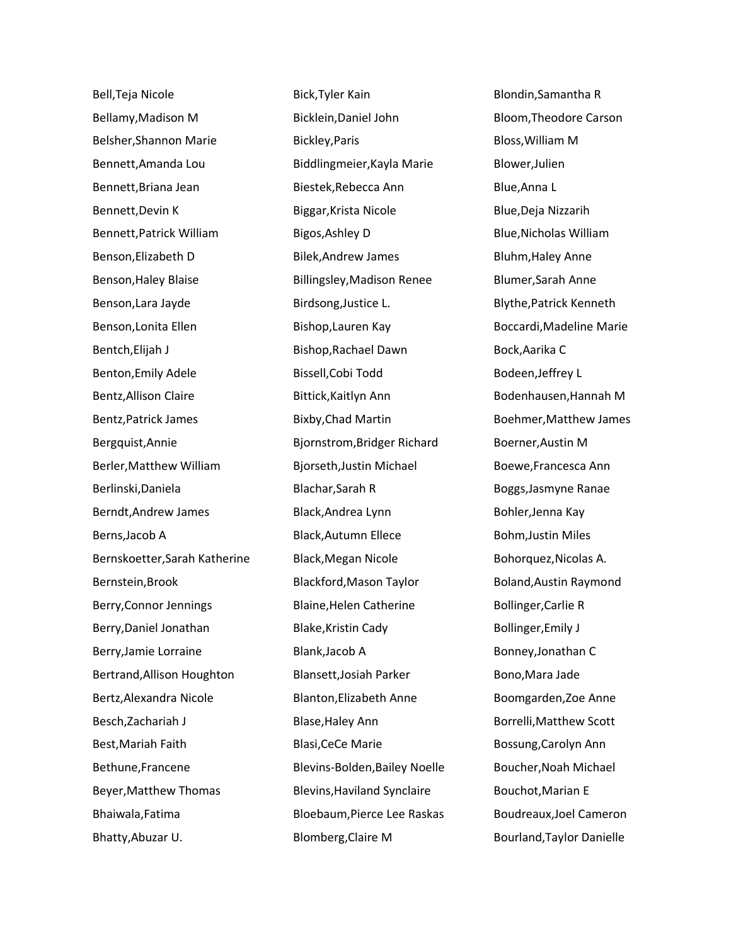Bell,Teja Nicole Bellamy,Madison M Belsher,Shannon Marie Bennett,Amanda Lou Bennett,Briana Jean Bennett,Devin K Bennett,Patrick William Benson,Elizabeth D Benson,Haley Blaise Benson,Lara Jayde Benson,Lonita Ellen Bentch,Elijah J Benton,Emily Adele Bentz,Allison Claire Bentz,Patrick James Bergquist,Annie Berler,Matthew William Berlinski,Daniela Berndt,Andrew James Berns,Jacob A Bernskoetter,Sarah Katherine Bernstein,Brook Berry,Connor Jennings Berry,Daniel Jonathan Berry,Jamie Lorraine Bertrand,Allison Houghton Bertz,Alexandra Nicole Besch,Zachariah J Best,Mariah Faith Bethune,Francene Beyer,Matthew Thomas Bhaiwala,Fatima Bhatty,Abuzar U.

Bick,Tyler Kain Bicklein,Daniel John Bickley,Paris Biddlingmeier,Kayla Marie Biestek,Rebecca Ann Biggar,Krista Nicole Bigos,Ashley D Bilek,Andrew James Billingsley,Madison Renee Birdsong,Justice L. Bishop,Lauren Kay Bishop,Rachael Dawn Bissell,Cobi Todd Bittick,Kaitlyn Ann Bixby,Chad Martin Bjornstrom,Bridger Richard Bjorseth,Justin Michael Blachar,Sarah R Black,Andrea Lynn Black,Autumn Ellece Black,Megan Nicole Blackford,Mason Taylor Blaine,Helen Catherine Blake,Kristin Cady Blank,Jacob A Blansett,Josiah Parker Blanton,Elizabeth Anne Blase,Haley Ann Blasi,CeCe Marie Blevins-Bolden,Bailey Noelle Blevins,Haviland Synclaire Bloebaum,Pierce Lee Raskas Blomberg,Claire M

Blondin,Samantha R Bloom,Theodore Carson Bloss,William M Blower,Julien Blue,Anna L Blue,Deja Nizzarih Blue,Nicholas William Bluhm,Haley Anne Blumer,Sarah Anne Blythe,Patrick Kenneth Boccardi,Madeline Marie Bock,Aarika C Bodeen,Jeffrey L Bodenhausen,Hannah M Boehmer,Matthew James Boerner,Austin M Boewe,Francesca Ann Boggs,Jasmyne Ranae Bohler,Jenna Kay Bohm,Justin Miles Bohorquez,Nicolas A. Boland,Austin Raymond Bollinger,Carlie R Bollinger,Emily J Bonney,Jonathan C Bono,Mara Jade Boomgarden,Zoe Anne Borrelli,Matthew Scott Bossung,Carolyn Ann Boucher,Noah Michael Bouchot,Marian E Boudreaux,Joel Cameron Bourland,Taylor Danielle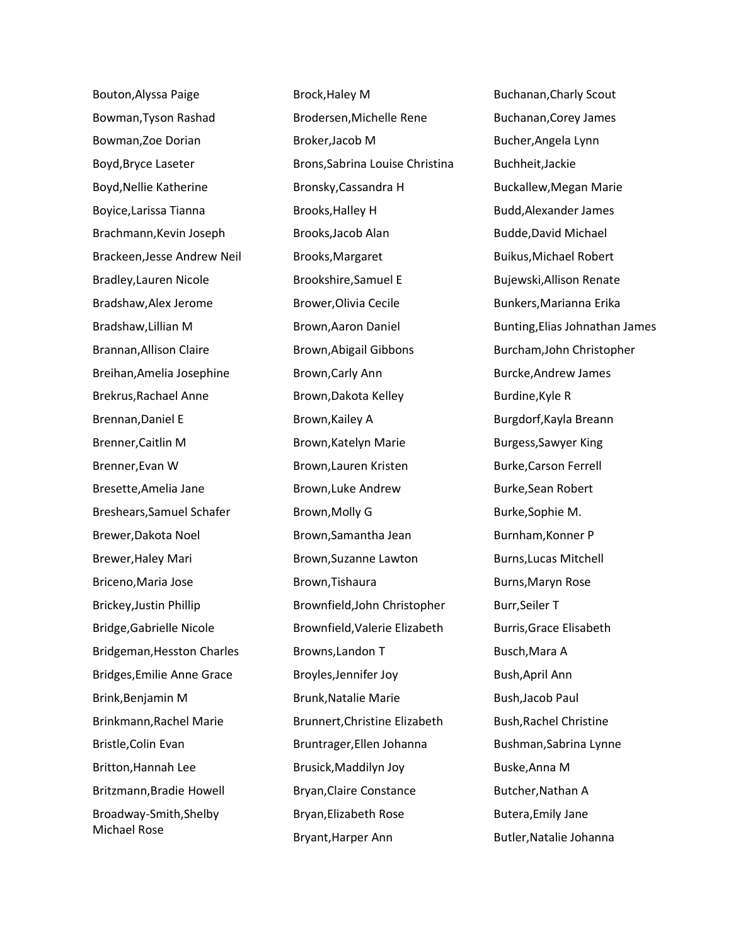Bouton,Alyssa Paige Bowman,Tyson Rashad Bowman,Zoe Dorian Boyd,Bryce Laseter Boyd,Nellie Katherine Boyice,Larissa Tianna Brachmann,Kevin Joseph Brackeen,Jesse Andrew Neil Bradley,Lauren Nicole Bradshaw,Alex Jerome Bradshaw,Lillian M Brannan,Allison Claire Breihan,Amelia Josephine Brekrus,Rachael Anne Brennan,Daniel E Brenner,Caitlin M Brenner,Evan W Bresette,Amelia Jane Breshears,Samuel Schafer Brewer,Dakota Noel Brewer,Haley Mari Briceno,Maria Jose Brickey,Justin Phillip Bridge,Gabrielle Nicole Bridgeman,Hesston Charles Bridges,Emilie Anne Grace Brink,Benjamin M Brinkmann,Rachel Marie Bristle,Colin Evan Britton,Hannah Lee Britzmann,Bradie Howell Broadway-Smith,Shelby Michael Rose

Brock,Haley M Brodersen,Michelle Rene Broker,Jacob M Brons,Sabrina Louise Christina Bronsky,Cassandra H Brooks,Halley H Brooks,Jacob Alan Brooks,Margaret Brookshire,Samuel E Brower,Olivia Cecile Brown,Aaron Daniel Brown,Abigail Gibbons Brown,Carly Ann Brown,Dakota Kelley Brown,Kailey A Brown,Katelyn Marie Brown,Lauren Kristen Brown,Luke Andrew Brown,Molly G Brown,Samantha Jean Brown,Suzanne Lawton Brown,Tishaura Brownfield,John Christopher Brownfield,Valerie Elizabeth Browns,Landon T Broyles,Jennifer Joy Brunk,Natalie Marie Brunnert,Christine Elizabeth Bruntrager,Ellen Johanna Brusick,Maddilyn Joy Bryan,Claire Constance Bryan,Elizabeth Rose Bryant,Harper Ann

Buchanan,Charly Scout Buchanan,Corey James Bucher,Angela Lynn Buchheit,Jackie Buckallew,Megan Marie Budd,Alexander James Budde,David Michael Buikus,Michael Robert Bujewski,Allison Renate Bunkers,Marianna Erika Bunting,Elias Johnathan James Burcham,John Christopher Burcke,Andrew James Burdine,Kyle R Burgdorf,Kayla Breann Burgess,Sawyer King Burke,Carson Ferrell Burke,Sean Robert Burke,Sophie M. Burnham,Konner P Burns,Lucas Mitchell Burns,Maryn Rose Burr,Seiler T Burris,Grace Elisabeth Busch,Mara A Bush,April Ann Bush,Jacob Paul Bush,Rachel Christine Bushman,Sabrina Lynne Buske,Anna M Butcher,Nathan A Butera,Emily Jane Butler,Natalie Johanna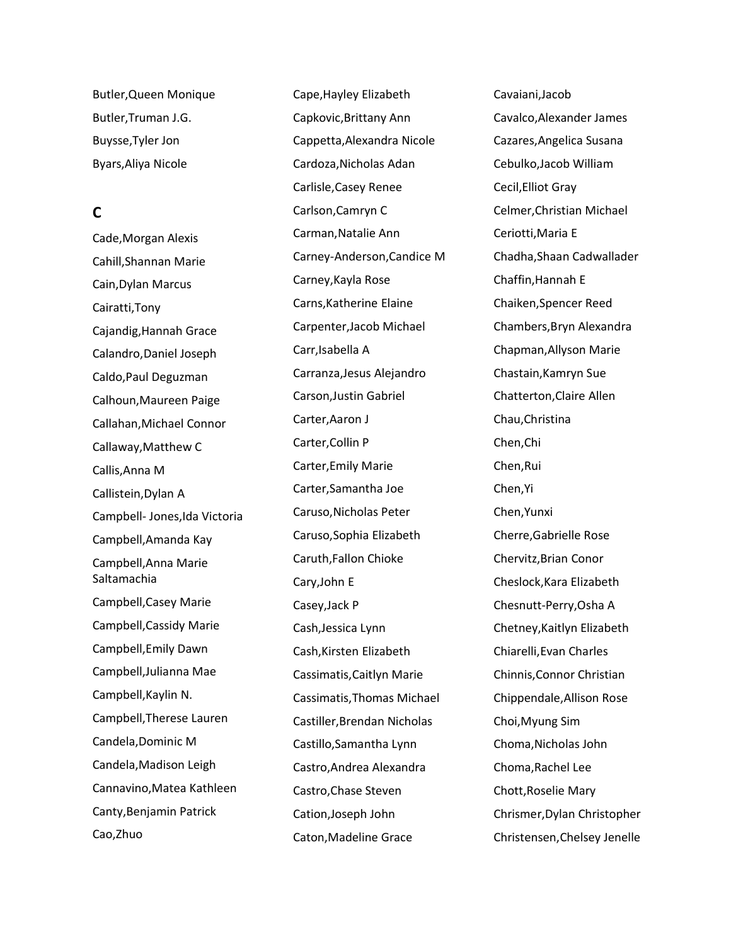Butler,Queen Monique Butler,Truman J.G. Buysse,Tyler Jon Byars,Aliya Nicole

# **C**

Cade,Morgan Alexis Cahill,Shannan Marie Cain,Dylan Marcus Cairatti,Tony Cajandig,Hannah Grace Calandro,Daniel Joseph Caldo,Paul Deguzman Calhoun,Maureen Paige Callahan,Michael Connor Callaway,Matthew C Callis,Anna M Callistein,Dylan A Campbell- Jones,Ida Victoria Campbell,Amanda Kay Campbell,Anna Marie Saltamachia Campbell,Casey Marie Campbell,Cassidy Marie Campbell,Emily Dawn Campbell,Julianna Mae Campbell,Kaylin N. Campbell,Therese Lauren Candela,Dominic M Candela,Madison Leigh Cannavino,Matea Kathleen Canty,Benjamin Patrick Cao,Zhuo

Cape,Hayley Elizabeth Capkovic,Brittany Ann Cappetta,Alexandra Nicole Cardoza,Nicholas Adan Carlisle,Casey Renee Carlson,Camryn C Carman,Natalie Ann Carney-Anderson,Candice M Carney,Kayla Rose Carns,Katherine Elaine Carpenter,Jacob Michael Carr,Isabella A Carranza,Jesus Alejandro Carson,Justin Gabriel Carter,Aaron J Carter,Collin P Carter,Emily Marie Carter,Samantha Joe Caruso,Nicholas Peter Caruso,Sophia Elizabeth Caruth,Fallon Chioke Cary,John E Casey,Jack P Cash,Jessica Lynn Cash,Kirsten Elizabeth Cassimatis,Caitlyn Marie Cassimatis,Thomas Michael Castiller,Brendan Nicholas Castillo,Samantha Lynn Castro,Andrea Alexandra Castro,Chase Steven Cation,Joseph John Caton,Madeline Grace

Cavaiani,Jacob Cavalco,Alexander James Cazares,Angelica Susana Cebulko,Jacob William Cecil,Elliot Gray Celmer,Christian Michael Ceriotti,Maria E Chadha,Shaan Cadwallader Chaffin,Hannah E Chaiken,Spencer Reed Chambers,Bryn Alexandra Chapman,Allyson Marie Chastain,Kamryn Sue Chatterton,Claire Allen Chau,Christina Chen,Chi Chen,Rui Chen,Yi Chen,Yunxi Cherre,Gabrielle Rose Chervitz,Brian Conor Cheslock,Kara Elizabeth Chesnutt-Perry,Osha A Chetney,Kaitlyn Elizabeth Chiarelli,Evan Charles Chinnis,Connor Christian Chippendale,Allison Rose Choi,Myung Sim Choma,Nicholas John Choma,Rachel Lee Chott,Roselie Mary Chrismer,Dylan Christopher Christensen,Chelsey Jenelle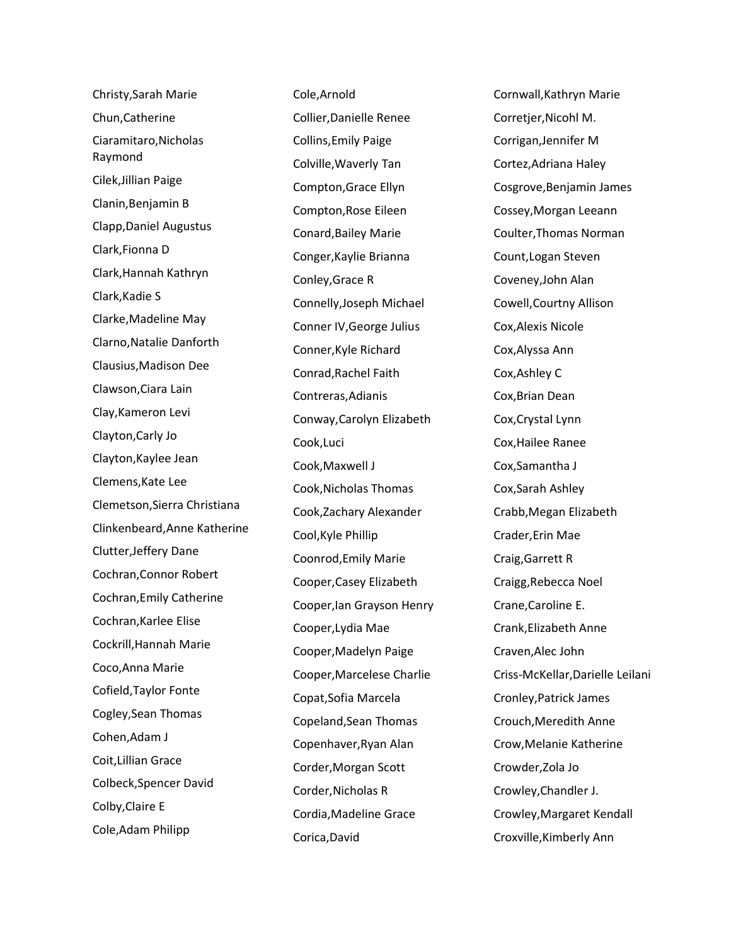Christy,Sarah Marie Chun,Catherine Ciaramitaro,Nicholas Raymond Cilek,Jillian Paige Clanin,Benjamin B Clapp,Daniel Augustus Clark,Fionna D Clark,Hannah Kathryn Clark,Kadie S Clarke,Madeline May Clarno,Natalie Danforth Clausius,Madison Dee Clawson,Ciara Lain Clay,Kameron Levi Clayton,Carly Jo Clayton,Kaylee Jean Clemens,Kate Lee Clemetson,Sierra Christiana Clinkenbeard,Anne Katherine Clutter,Jeffery Dane Cochran,Connor Robert Cochran,Emily Catherine Cochran,Karlee Elise Cockrill,Hannah Marie Coco,Anna Marie Cofield,Taylor Fonte Cogley,Sean Thomas Cohen,Adam J Coit,Lillian Grace Colbeck,Spencer David Colby,Claire E Cole,Adam Philipp

Cole,Arnold Collier,Danielle Renee Collins,Emily Paige Colville,Waverly Tan Compton,Grace Ellyn Compton,Rose Eileen Conard,Bailey Marie Conger,Kaylie Brianna Conley,Grace R Connelly,Joseph Michael Conner IV,George Julius Conner,Kyle Richard Conrad,Rachel Faith Contreras,Adianis Conway,Carolyn Elizabeth Cook,Luci Cook,Maxwell J Cook,Nicholas Thomas Cook,Zachary Alexander Cool,Kyle Phillip Coonrod,Emily Marie Cooper,Casey Elizabeth Cooper,Ian Grayson Henry Cooper,Lydia Mae Cooper,Madelyn Paige Cooper,Marcelese Charlie Copat,Sofia Marcela Copeland,Sean Thomas Copenhaver,Ryan Alan Corder,Morgan Scott Corder,Nicholas R Cordia,Madeline Grace Corica,David

Cornwall,Kathryn Marie Corretjer,Nicohl M. Corrigan,Jennifer M Cortez,Adriana Haley Cosgrove,Benjamin James Cossey,Morgan Leeann Coulter,Thomas Norman Count,Logan Steven Coveney,John Alan Cowell,Courtny Allison Cox,Alexis Nicole Cox,Alyssa Ann Cox,Ashley C Cox,Brian Dean Cox,Crystal Lynn Cox,Hailee Ranee Cox,Samantha J Cox,Sarah Ashley Crabb,Megan Elizabeth Crader,Erin Mae Craig,Garrett R Craigg,Rebecca Noel Crane,Caroline E. Crank,Elizabeth Anne Craven,Alec John Criss-McKellar,Darielle Leilani Cronley,Patrick James Crouch,Meredith Anne Crow,Melanie Katherine Crowder,Zola Jo Crowley,Chandler J. Crowley,Margaret Kendall Croxville,Kimberly Ann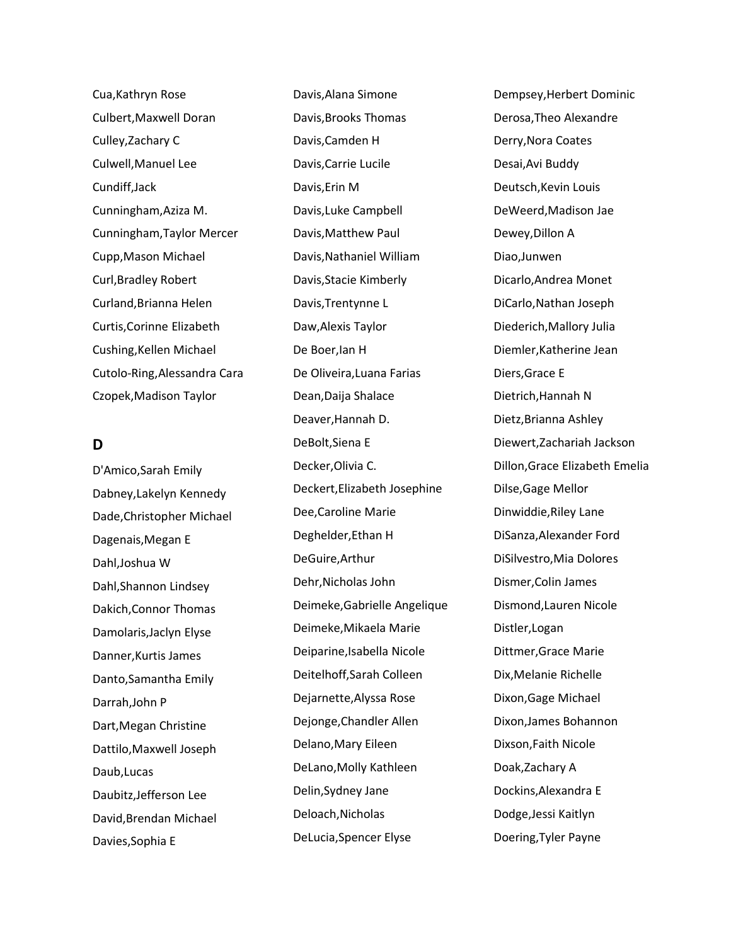Cua,Kathryn Rose Culbert,Maxwell Doran Culley,Zachary C Culwell,Manuel Lee Cundiff,Jack Cunningham,Aziza M. Cunningham,Taylor Mercer Cupp,Mason Michael Curl,Bradley Robert Curland,Brianna Helen Curtis,Corinne Elizabeth Cushing,Kellen Michael Cutolo-Ring,Alessandra Cara Czopek,Madison Taylor

### **D**

D'Amico,Sarah Emily Dabney,Lakelyn Kennedy Dade,Christopher Michael Dagenais,Megan E Dahl,Joshua W Dahl,Shannon Lindsey Dakich,Connor Thomas Damolaris,Jaclyn Elyse Danner,Kurtis James Danto,Samantha Emily Darrah,John P Dart,Megan Christine Dattilo,Maxwell Joseph Daub,Lucas Daubitz,Jefferson Lee David,Brendan Michael Davies,Sophia E

Davis,Alana Simone Davis,Brooks Thomas Davis,Camden H Davis,Carrie Lucile Davis,Erin M Davis,Luke Campbell Davis,Matthew Paul Davis,Nathaniel William Davis,Stacie Kimberly Davis,Trentynne L Daw,Alexis Taylor De Boer,Ian H De Oliveira,Luana Farias Dean,Daija Shalace Deaver,Hannah D. DeBolt,Siena E Decker,Olivia C. Deckert,Elizabeth Josephine Dee,Caroline Marie Deghelder,Ethan H DeGuire,Arthur Dehr,Nicholas John Deimeke,Gabrielle Angelique Deimeke,Mikaela Marie Deiparine,Isabella Nicole Deitelhoff,Sarah Colleen Dejarnette,Alyssa Rose Dejonge,Chandler Allen Delano,Mary Eileen DeLano,Molly Kathleen Delin,Sydney Jane Deloach,Nicholas DeLucia,Spencer Elyse

Dempsey,Herbert Dominic Derosa,Theo Alexandre Derry,Nora Coates Desai,Avi Buddy Deutsch,Kevin Louis DeWeerd,Madison Jae Dewey,Dillon A Diao,Junwen Dicarlo,Andrea Monet DiCarlo,Nathan Joseph Diederich,Mallory Julia Diemler,Katherine Jean Diers,Grace E Dietrich,Hannah N Dietz,Brianna Ashley Diewert,Zachariah Jackson Dillon,Grace Elizabeth Emelia Dilse,Gage Mellor Dinwiddie,Riley Lane DiSanza,Alexander Ford DiSilvestro,Mia Dolores Dismer,Colin James Dismond,Lauren Nicole Distler,Logan Dittmer,Grace Marie Dix,Melanie Richelle Dixon,Gage Michael Dixon,James Bohannon Dixson,Faith Nicole Doak,Zachary A Dockins,Alexandra E Dodge,Jessi Kaitlyn Doering,Tyler Payne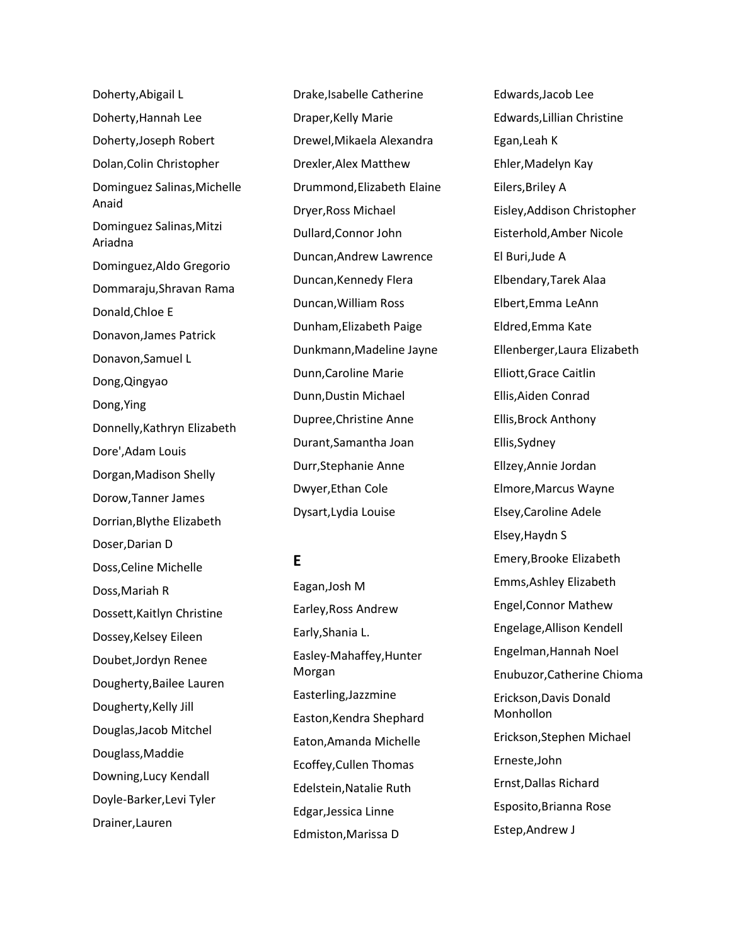Doherty,Abigail L Doherty,Hannah Lee Doherty,Joseph Robert Dolan,Colin Christopher Dominguez Salinas,Michelle Anaid Dominguez Salinas,Mitzi Ariadna Dominguez,Aldo Gregorio Dommaraju,Shravan Rama Donald,Chloe E Donavon,James Patrick Donavon,Samuel L Dong,Qingyao Dong,Ying Donnelly,Kathryn Elizabeth Dore',Adam Louis Dorgan,Madison Shelly Dorow,Tanner James Dorrian,Blythe Elizabeth Doser,Darian D Doss,Celine Michelle Doss,Mariah R Dossett,Kaitlyn Christine Dossey,Kelsey Eileen Doubet,Jordyn Renee Dougherty,Bailee Lauren Dougherty,Kelly Jill Douglas,Jacob Mitchel Douglass,Maddie Downing,Lucy Kendall Doyle-Barker,Levi Tyler Drainer,Lauren

Drake,Isabelle Catherine Draper,Kelly Marie Drewel,Mikaela Alexandra Drexler,Alex Matthew Drummond,Elizabeth Elaine Dryer,Ross Michael Dullard,Connor John Duncan,Andrew Lawrence Duncan,Kennedy FIera Duncan,William Ross Dunham,Elizabeth Paige Dunkmann,Madeline Jayne Dunn,Caroline Marie Dunn,Dustin Michael Dupree,Christine Anne Durant,Samantha Joan Durr,Stephanie Anne Dwyer,Ethan Cole Dysart,Lydia Louise

## **E**

Eagan,Josh M Earley,Ross Andrew Early,Shania L. Easley-Mahaffey,Hunter Morgan Easterling,Jazzmine Easton,Kendra Shephard Eaton,Amanda Michelle Ecoffey,Cullen Thomas Edelstein,Natalie Ruth Edgar,Jessica Linne Edmiston,Marissa D

Edwards,Jacob Lee Edwards,Lillian Christine Egan,Leah K Ehler,Madelyn Kay Eilers,Briley A Eisley,Addison Christopher Eisterhold,Amber Nicole El Buri,Jude A Elbendary,Tarek Alaa Elbert,Emma LeAnn Eldred,Emma Kate Ellenberger,Laura Elizabeth Elliott,Grace Caitlin Ellis,Aiden Conrad Ellis,Brock Anthony Ellis,Sydney Ellzey,Annie Jordan Elmore,Marcus Wayne Elsey,Caroline Adele Elsey,Haydn S Emery,Brooke Elizabeth Emms,Ashley Elizabeth Engel,Connor Mathew Engelage,Allison Kendell Engelman,Hannah Noel Enubuzor,Catherine Chioma Erickson,Davis Donald Monhollon Erickson,Stephen Michael Erneste,John Ernst,Dallas Richard Esposito,Brianna Rose Estep,Andrew J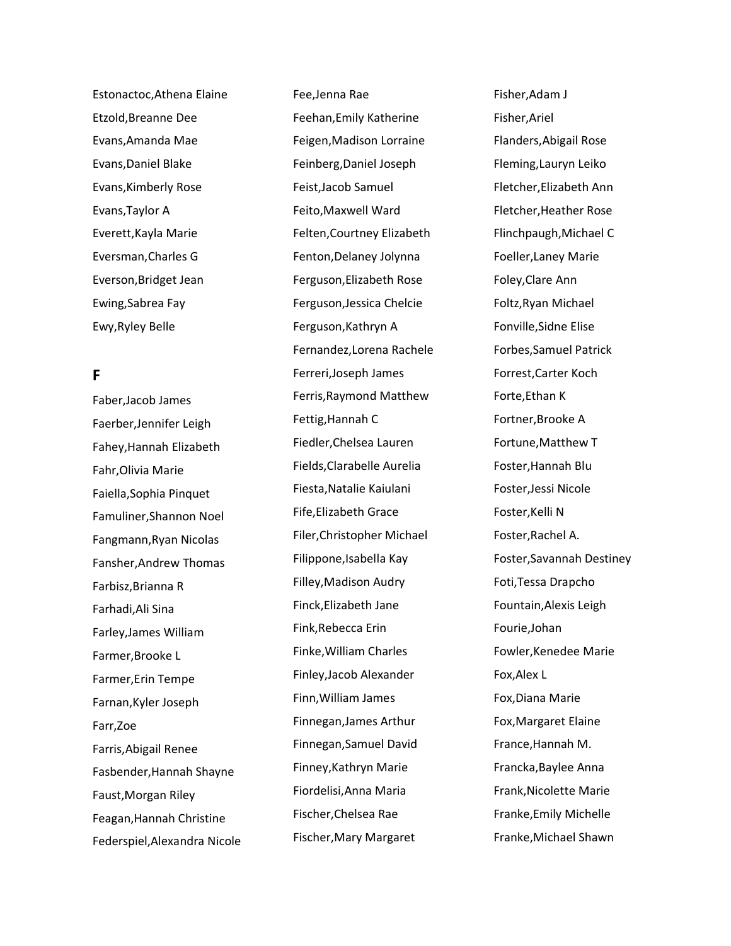Estonactoc,Athena Elaine Etzold,Breanne Dee Evans,Amanda Mae Evans,Daniel Blake Evans,Kimberly Rose Evans,Taylor A Everett,Kayla Marie Eversman,Charles G Everson,Bridget Jean Ewing,Sabrea Fay Ewy,Ryley Belle

## **F**

Faber,Jacob James Faerber,Jennifer Leigh Fahey,Hannah Elizabeth Fahr,Olivia Marie Faiella,Sophia Pinquet Famuliner,Shannon Noel Fangmann,Ryan Nicolas Fansher,Andrew Thomas Farbisz,Brianna R Farhadi,Ali Sina Farley,James William Farmer,Brooke L Farmer,Erin Tempe Farnan,Kyler Joseph Farr,Zoe Farris,Abigail Renee Fasbender,Hannah Shayne Faust,Morgan Riley Feagan,Hannah Christine Federspiel,Alexandra Nicole Fee,Jenna Rae Feehan,Emily Katherine Feigen,Madison Lorraine Feinberg,Daniel Joseph Feist,Jacob Samuel Feito,Maxwell Ward Felten,Courtney Elizabeth Fenton,Delaney Jolynna Ferguson,Elizabeth Rose Ferguson,Jessica Chelcie Ferguson,Kathryn A Fernandez,Lorena Rachele Ferreri,Joseph James Ferris,Raymond Matthew Fettig,Hannah C Fiedler,Chelsea Lauren Fields,Clarabelle Aurelia Fiesta,Natalie Kaiulani Fife,Elizabeth Grace Filer,Christopher Michael Filippone,Isabella Kay Filley,Madison Audry Finck,Elizabeth Jane Fink,Rebecca Erin Finke,William Charles Finley,Jacob Alexander Finn,William James Finnegan,James Arthur Finnegan,Samuel David Finney,Kathryn Marie Fiordelisi,Anna Maria Fischer,Chelsea Rae Fischer,Mary Margaret

Fisher,Adam J Fisher,Ariel Flanders,Abigail Rose Fleming,Lauryn Leiko Fletcher,Elizabeth Ann Fletcher,Heather Rose Flinchpaugh,Michael C Foeller,Laney Marie Foley,Clare Ann Foltz,Ryan Michael Fonville,Sidne Elise Forbes,Samuel Patrick Forrest,Carter Koch Forte,Ethan K Fortner,Brooke A Fortune,Matthew T Foster,Hannah Blu Foster,Jessi Nicole Foster,Kelli N Foster,Rachel A. Foster,Savannah Destiney Foti,Tessa Drapcho Fountain,Alexis Leigh Fourie,Johan Fowler,Kenedee Marie Fox,Alex L Fox,Diana Marie Fox,Margaret Elaine France,Hannah M. Francka,Baylee Anna Frank,Nicolette Marie Franke,Emily Michelle Franke,Michael Shawn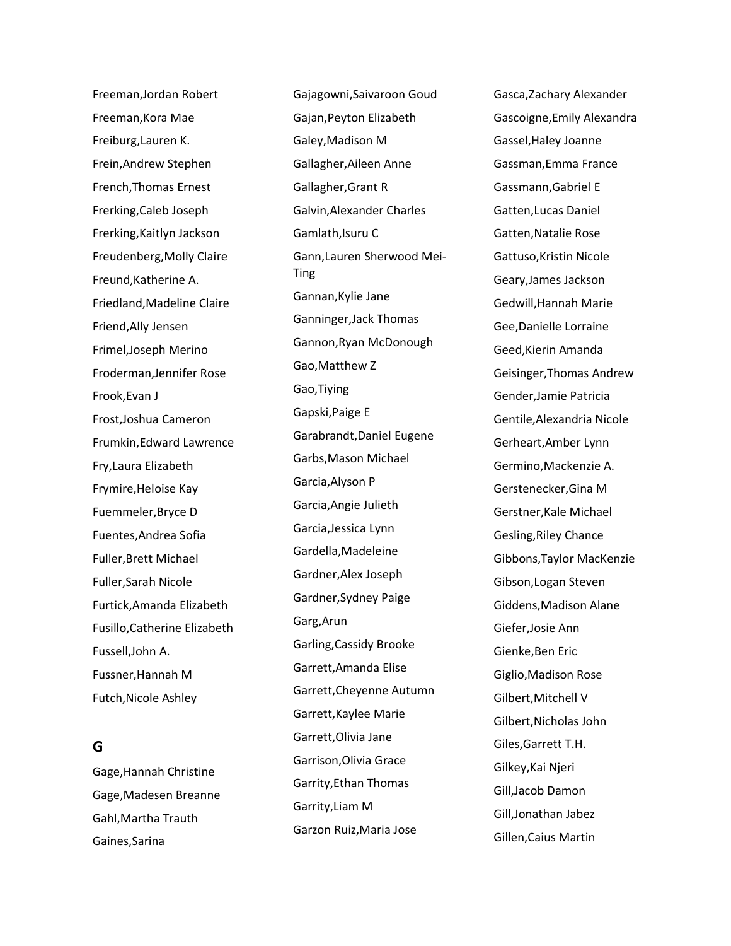Freeman,Jordan Robert Freeman,Kora Mae Freiburg,Lauren K. Frein,Andrew Stephen French,Thomas Ernest Frerking,Caleb Joseph Frerking,Kaitlyn Jackson Freudenberg,Molly Claire Freund,Katherine A. Friedland,Madeline Claire Friend,Ally Jensen Frimel,Joseph Merino Froderman,Jennifer Rose Frook,Evan J Frost,Joshua Cameron Frumkin,Edward Lawrence Fry,Laura Elizabeth Frymire,Heloise Kay Fuemmeler,Bryce D Fuentes,Andrea Sofia Fuller,Brett Michael Fuller,Sarah Nicole Furtick,Amanda Elizabeth Fusillo,Catherine Elizabeth Fussell,John A. Fussner,Hannah M Futch,Nicole Ashley

## **G**

Gage,Hannah Christine Gage,Madesen Breanne Gahl,Martha Trauth Gaines,Sarina

Gajagowni,Saivaroon Goud Gajan,Peyton Elizabeth Galey,Madison M Gallagher,Aileen Anne Gallagher,Grant R Galvin,Alexander Charles Gamlath,Isuru C Gann,Lauren Sherwood Mei-**Ting** Gannan,Kylie Jane Ganninger,Jack Thomas Gannon,Ryan McDonough Gao,Matthew Z Gao,Tiying Gapski,Paige E Garabrandt,Daniel Eugene Garbs,Mason Michael Garcia,Alyson P Garcia,Angie Julieth Garcia,Jessica Lynn Gardella,Madeleine Gardner,Alex Joseph Gardner,Sydney Paige Garg,Arun Garling,Cassidy Brooke Garrett,Amanda Elise Garrett,Cheyenne Autumn Garrett,Kaylee Marie Garrett,Olivia Jane Garrison,Olivia Grace Garrity,Ethan Thomas Garrity,Liam M Garzon Ruiz,Maria Jose

Gasca,Zachary Alexander Gascoigne,Emily Alexandra Gassel,Haley Joanne Gassman,Emma France Gassmann,Gabriel E Gatten,Lucas Daniel Gatten,Natalie Rose Gattuso,Kristin Nicole Geary,James Jackson Gedwill,Hannah Marie Gee,Danielle Lorraine Geed,Kierin Amanda Geisinger,Thomas Andrew Gender,Jamie Patricia Gentile,Alexandria Nicole Gerheart,Amber Lynn Germino,Mackenzie A. Gerstenecker,Gina M Gerstner,Kale Michael Gesling,Riley Chance Gibbons,Taylor MacKenzie Gibson,Logan Steven Giddens,Madison Alane Giefer,Josie Ann Gienke,Ben Eric Giglio,Madison Rose Gilbert,Mitchell V Gilbert,Nicholas John Giles,Garrett T.H. Gilkey,Kai Njeri Gill,Jacob Damon Gill,Jonathan Jabez Gillen,Caius Martin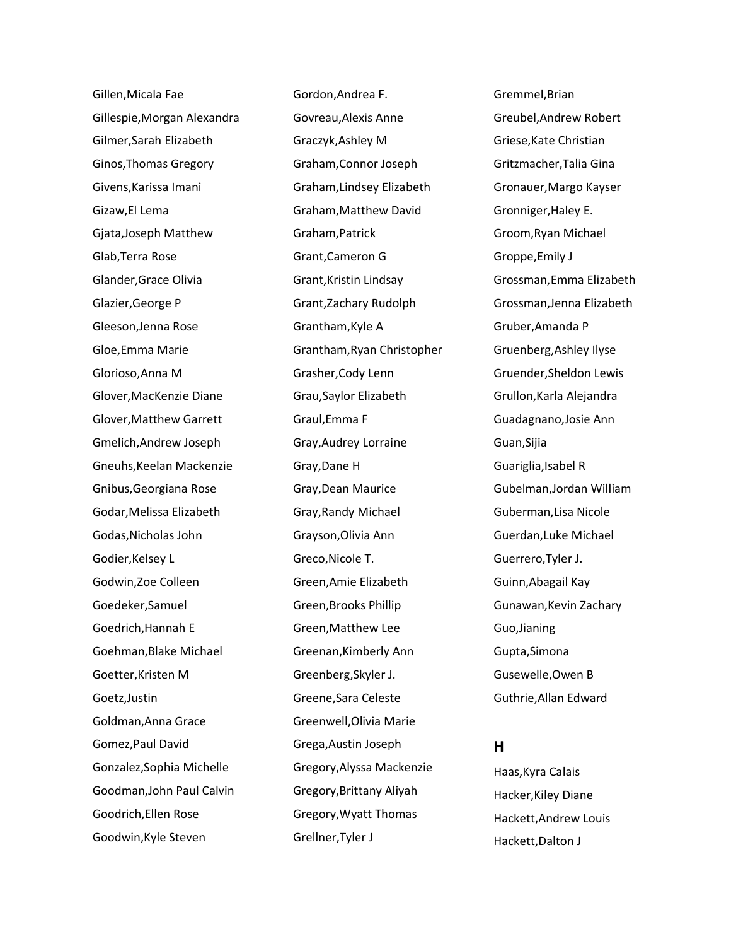Gillen,Micala Fae Gillespie,Morgan Alexandra Gilmer,Sarah Elizabeth Ginos,Thomas Gregory Givens,Karissa Imani Gizaw,El Lema Gjata,Joseph Matthew Glab,Terra Rose Glander,Grace Olivia Glazier,George P Gleeson,Jenna Rose Gloe,Emma Marie Glorioso,Anna M Glover,MacKenzie Diane Glover,Matthew Garrett Gmelich,Andrew Joseph Gneuhs,Keelan Mackenzie Gnibus,Georgiana Rose Godar,Melissa Elizabeth Godas,Nicholas John Godier,Kelsey L Godwin,Zoe Colleen Goedeker,Samuel Goedrich,Hannah E Goehman,Blake Michael Goetter,Kristen M Goetz,Justin Goldman,Anna Grace Gomez,Paul David Gonzalez,Sophia Michelle Goodman,John Paul Calvin Goodrich,Ellen Rose Goodwin,Kyle Steven

Gordon,Andrea F. Govreau,Alexis Anne Graczyk,Ashley M Graham,Connor Joseph Graham,Lindsey Elizabeth Graham,Matthew David Graham,Patrick Grant,Cameron G Grant,Kristin Lindsay Grant,Zachary Rudolph Grantham,Kyle A Grantham,Ryan Christopher Grasher,Cody Lenn Grau,Saylor Elizabeth Graul,Emma F Gray,Audrey Lorraine Gray,Dane H Gray,Dean Maurice Gray,Randy Michael Grayson,Olivia Ann Greco,Nicole T. Green,Amie Elizabeth Green,Brooks Phillip Green,Matthew Lee Greenan,Kimberly Ann Greenberg,Skyler J. Greene,Sara Celeste Greenwell,Olivia Marie Grega,Austin Joseph Gregory,Alyssa Mackenzie Gregory,Brittany Aliyah Gregory,Wyatt Thomas Grellner,Tyler J

Gremmel,Brian Greubel,Andrew Robert Griese,Kate Christian Gritzmacher,Talia Gina Gronauer,Margo Kayser Gronniger,Haley E. Groom,Ryan Michael Groppe,Emily J Grossman,Emma Elizabeth Grossman,Jenna Elizabeth Gruber,Amanda P Gruenberg,Ashley Ilyse Gruender,Sheldon Lewis Grullon,Karla Alejandra Guadagnano,Josie Ann Guan,Sijia Guariglia,Isabel R Gubelman,Jordan William Guberman,Lisa Nicole Guerdan,Luke Michael Guerrero,Tyler J. Guinn,Abagail Kay Gunawan,Kevin Zachary Guo,Jianing Gupta,Simona Gusewelle,Owen B Guthrie,Allan Edward

#### **H**

Haas,Kyra Calais Hacker,Kiley Diane Hackett,Andrew Louis Hackett,Dalton J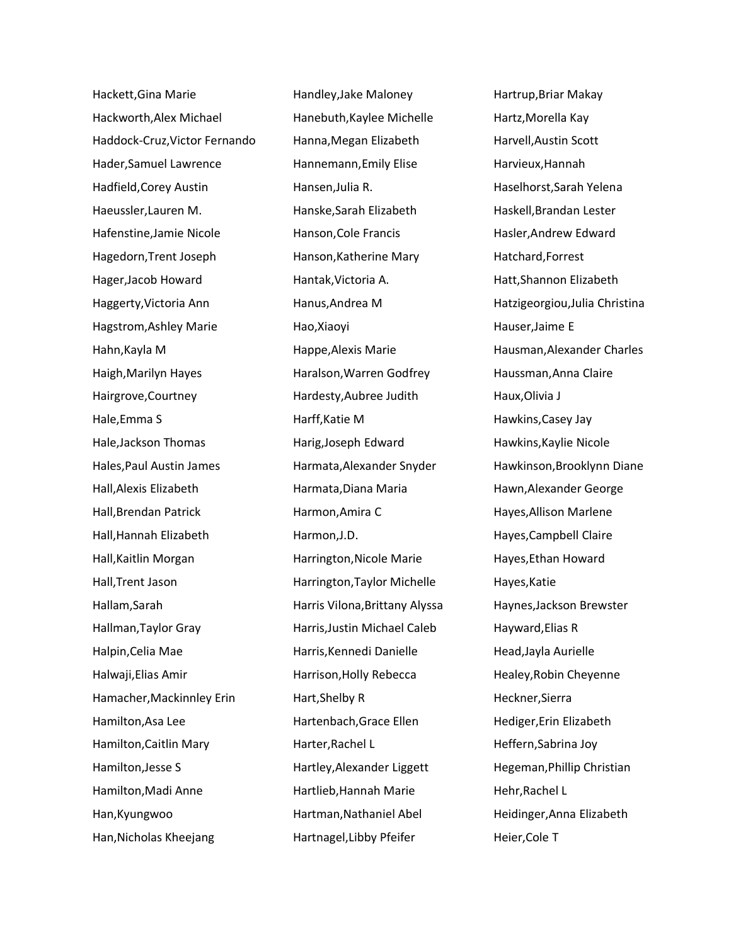Hackett,Gina Marie Hackworth,Alex Michael Haddock-Cruz,Victor Fernando Hader,Samuel Lawrence Hadfield,Corey Austin Haeussler,Lauren M. Hafenstine,Jamie Nicole Hagedorn,Trent Joseph Hager,Jacob Howard Haggerty,Victoria Ann Hagstrom,Ashley Marie Hahn,Kayla M Haigh,Marilyn Hayes Hairgrove,Courtney Hale,Emma S Hale,Jackson Thomas Hales,Paul Austin James Hall,Alexis Elizabeth Hall,Brendan Patrick Hall,Hannah Elizabeth Hall,Kaitlin Morgan Hall,Trent Jason Hallam,Sarah Hallman,Taylor Gray Halpin,Celia Mae Halwaji,Elias Amir Hamacher,Mackinnley Erin Hamilton,Asa Lee Hamilton,Caitlin Mary Hamilton,Jesse S Hamilton,Madi Anne Han,Kyungwoo Han,Nicholas Kheejang

Handley,Jake Maloney Hanebuth,Kaylee Michelle Hanna,Megan Elizabeth Hannemann,Emily Elise Hansen,Julia R. Hanske,Sarah Elizabeth Hanson,Cole Francis Hanson,Katherine Mary Hantak,Victoria A. Hanus,Andrea M Hao,Xiaoyi Happe,Alexis Marie Haralson,Warren Godfrey Hardesty,Aubree Judith Harff,Katie M Harig,Joseph Edward Harmata,Alexander Snyder Harmata,Diana Maria Harmon,Amira C Harmon,J.D. Harrington,Nicole Marie Harrington,Taylor Michelle Harris Vilona,Brittany Alyssa Harris,Justin Michael Caleb Harris,Kennedi Danielle Harrison,Holly Rebecca Hart,Shelby R Hartenbach,Grace Ellen Harter,Rachel L Hartley,Alexander Liggett Hartlieb,Hannah Marie Hartman,Nathaniel Abel Hartnagel,Libby Pfeifer

Hartrup,Briar Makay Hartz,Morella Kay Harvell,Austin Scott Harvieux,Hannah Haselhorst,Sarah Yelena Haskell,Brandan Lester Hasler,Andrew Edward Hatchard,Forrest Hatt,Shannon Elizabeth Hatzigeorgiou,Julia Christina Hauser,Jaime E Hausman,Alexander Charles Haussman,Anna Claire Haux,Olivia J Hawkins,Casey Jay Hawkins,Kaylie Nicole Hawkinson,Brooklynn Diane Hawn,Alexander George Hayes,Allison Marlene Hayes,Campbell Claire Hayes,Ethan Howard Hayes,Katie Haynes,Jackson Brewster Hayward,Elias R Head,Jayla Aurielle Healey,Robin Cheyenne Heckner,Sierra Hediger,Erin Elizabeth Heffern,Sabrina Joy Hegeman,Phillip Christian Hehr,Rachel L Heidinger,Anna Elizabeth Heier,Cole T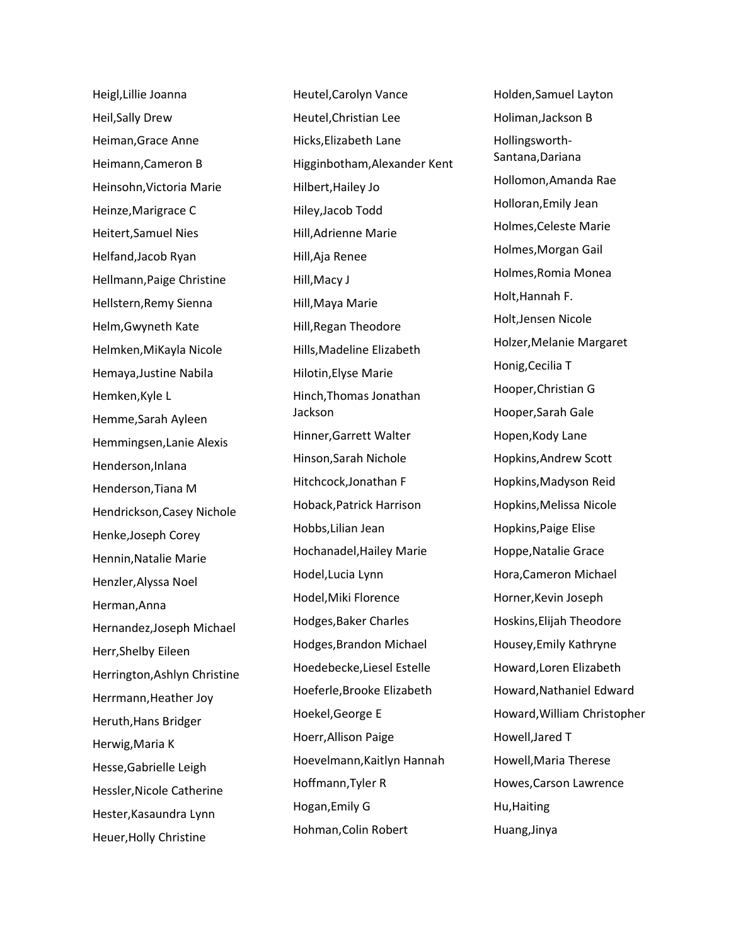Heigl,Lillie Joanna Heil,Sally Drew Heiman,Grace Anne Heimann,Cameron B Heinsohn,Victoria Marie Heinze,Marigrace C Heitert,Samuel Nies Helfand,Jacob Ryan Hellmann,Paige Christine Hellstern,Remy Sienna Helm,Gwyneth Kate Helmken,MiKayla Nicole Hemaya,Justine Nabila Hemken,Kyle L Hemme,Sarah Ayleen Hemmingsen,Lanie Alexis Henderson,Inlana Henderson,Tiana M Hendrickson,Casey Nichole Henke,Joseph Corey Hennin,Natalie Marie Henzler,Alyssa Noel Herman,Anna Hernandez,Joseph Michael Herr,Shelby Eileen Herrington,Ashlyn Christine Herrmann, Heather Joy Heruth,Hans Bridger Herwig,Maria K Hesse,Gabrielle Leigh Hessler,Nicole Catherine Hester,Kasaundra Lynn Heuer,Holly Christine

Heutel,Carolyn Vance Heutel,Christian Lee Hicks,Elizabeth Lane Higginbotham,Alexander Kent Hilbert,Hailey Jo Hiley,Jacob Todd Hill,Adrienne Marie Hill,Aja Renee Hill,Macy J Hill,Maya Marie Hill,Regan Theodore Hills,Madeline Elizabeth Hilotin,Elyse Marie Hinch,Thomas Jonathan Jackson Hinner,Garrett Walter Hinson,Sarah Nichole Hitchcock,Jonathan F Hoback,Patrick Harrison Hobbs,Lilian Jean Hochanadel,Hailey Marie Hodel,Lucia Lynn Hodel,Miki Florence Hodges,Baker Charles Hodges,Brandon Michael Hoedebecke,Liesel Estelle Hoeferle,Brooke Elizabeth Hoekel,George E Hoerr,Allison Paige Hoevelmann,Kaitlyn Hannah Hoffmann,Tyler R Hogan,Emily G Hohman,Colin Robert

Holden,Samuel Layton Holiman,Jackson B Hollingsworth-Santana,Dariana Hollomon,Amanda Rae Holloran,Emily Jean Holmes,Celeste Marie Holmes,Morgan Gail Holmes,Romia Monea Holt,Hannah F. Holt,Jensen Nicole Holzer,Melanie Margaret Honig,Cecilia T Hooper,Christian G Hooper,Sarah Gale Hopen,Kody Lane Hopkins,Andrew Scott Hopkins,Madyson Reid Hopkins,Melissa Nicole Hopkins,Paige Elise Hoppe,Natalie Grace Hora,Cameron Michael Horner,Kevin Joseph Hoskins,Elijah Theodore Housey,Emily Kathryne Howard,Loren Elizabeth Howard,Nathaniel Edward Howard,William Christopher Howell,Jared T Howell,Maria Therese Howes,Carson Lawrence Hu,Haiting Huang,Jinya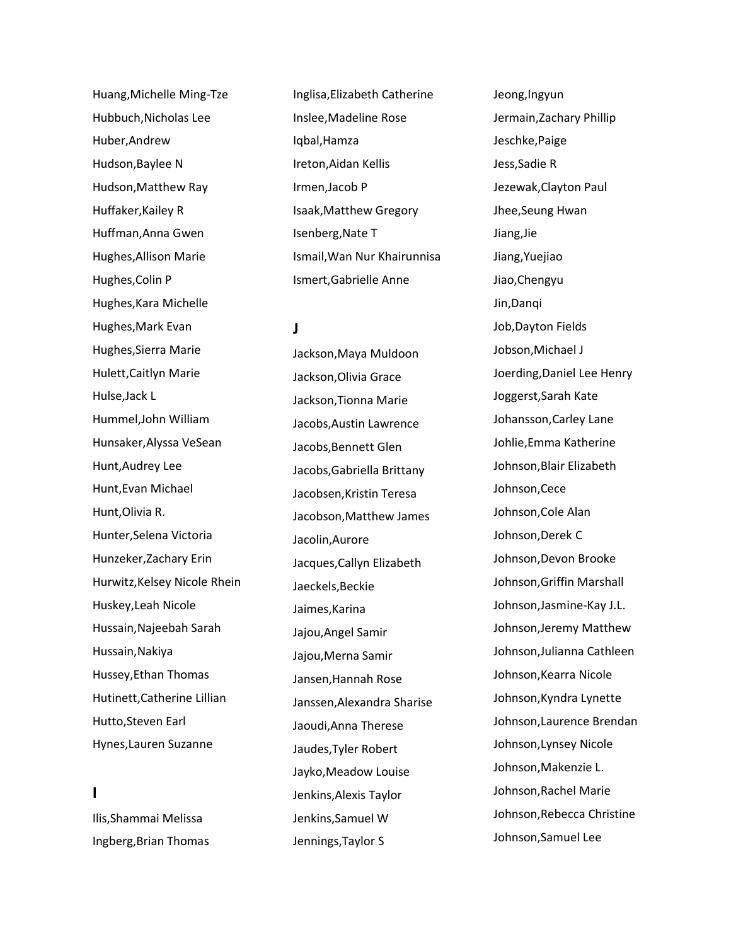Huang,Michelle Ming-Tze Hubbuch,Nicholas Lee Huber,Andrew Hudson,Baylee N Hudson,Matthew Ray Huffaker,Kailey R Huffman,Anna Gwen Hughes,Allison Marie Hughes,Colin P Hughes,Kara Michelle Hughes,Mark Evan Hughes,Sierra Marie Hulett,Caitlyn Marie Hulse,Jack L Hummel,John William Hunsaker,Alyssa VeSean Hunt,Audrey Lee Hunt,Evan Michael Hunt,Olivia R. Hunter,Selena Victoria Hunzeker,Zachary Erin Hurwitz,Kelsey Nicole Rhein Huskey,Leah Nicole Hussain,Najeebah Sarah Hussain,Nakiya Hussey,Ethan Thomas Hutinett,Catherine Lillian Hutto,Steven Earl Hynes,Lauren Suzanne

## **I**

Ilis,Shammai Melissa Ingberg,Brian Thomas Inglisa,Elizabeth Catherine Inslee,Madeline Rose Iqbal,Hamza Ireton,Aidan Kellis Irmen,Jacob P Isaak,Matthew Gregory Isenberg,Nate T Ismail,Wan Nur Khairunnisa Ismert,Gabrielle Anne

### **J**

Jackson,Maya Muldoon Jackson,Olivia Grace Jackson,Tionna Marie Jacobs,Austin Lawrence Jacobs,Bennett Glen Jacobs,Gabriella Brittany Jacobsen,Kristin Teresa Jacobson,Matthew James Jacolin,Aurore Jacques,Callyn Elizabeth Jaeckels,Beckie Jaimes,Karina Jajou,Angel Samir Jajou,Merna Samir Jansen,Hannah Rose Janssen,Alexandra Sharise Jaoudi,Anna Therese Jaudes,Tyler Robert Jayko,Meadow Louise Jenkins,Alexis Taylor Jenkins,Samuel W Jennings,Taylor S

Jeong,Ingyun Jermain,Zachary Phillip Jeschke,Paige Jess,Sadie R Jezewak,Clayton Paul Jhee,Seung Hwan Jiang,Jie Jiang,Yuejiao Jiao,Chengyu Jin,Danqi Job,Dayton Fields Jobson,Michael J Joerding,Daniel Lee Henry Joggerst,Sarah Kate Johansson,Carley Lane Johlie,Emma Katherine Johnson,Blair Elizabeth Johnson,Cece Johnson,Cole Alan Johnson,Derek C Johnson,Devon Brooke Johnson,Griffin Marshall Johnson,Jasmine-Kay J.L. Johnson,Jeremy Matthew Johnson,Julianna Cathleen Johnson,Kearra Nicole Johnson,Kyndra Lynette Johnson,Laurence Brendan Johnson,Lynsey Nicole Johnson,Makenzie L. Johnson,Rachel Marie Johnson,Rebecca Christine Johnson,Samuel Lee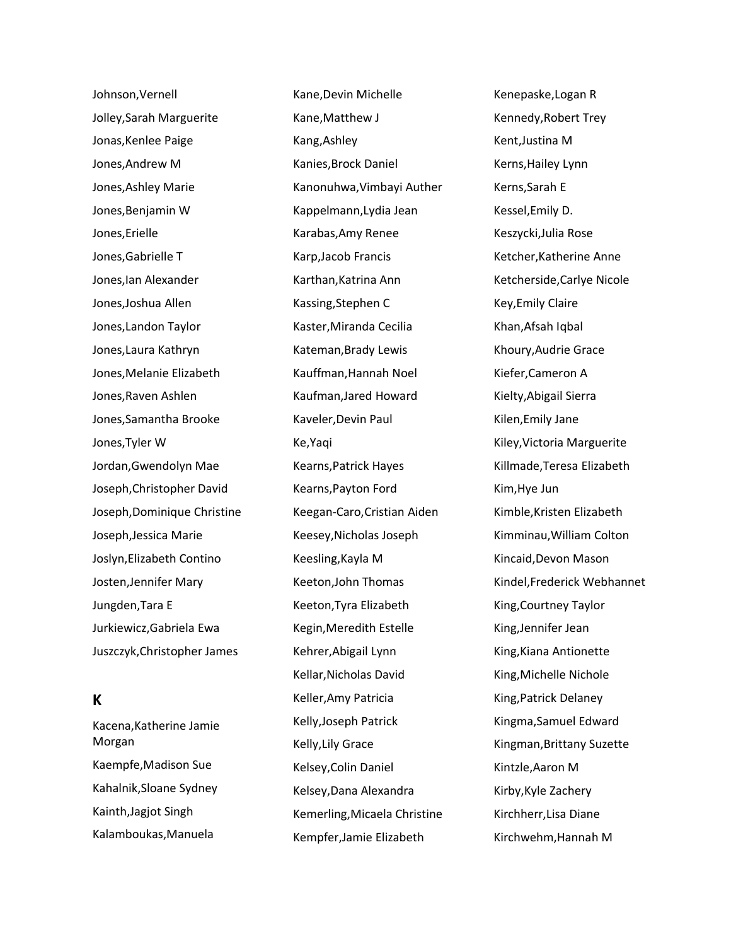Johnson,Vernell Jolley,Sarah Marguerite Jonas,Kenlee Paige Jones,Andrew M Jones,Ashley Marie Jones,Benjamin W Jones,Erielle Jones,Gabrielle T Jones,Ian Alexander Jones,Joshua Allen Jones,Landon Taylor Jones,Laura Kathryn Jones,Melanie Elizabeth Jones,Raven Ashlen Jones,Samantha Brooke Jones,Tyler W Jordan,Gwendolyn Mae Joseph,Christopher David Joseph,Dominique Christine Joseph,Jessica Marie Joslyn,Elizabeth Contino Josten,Jennifer Mary Jungden,Tara E Jurkiewicz,Gabriela Ewa Juszczyk,Christopher James

# **K**

Kacena,Katherine Jamie Morgan Kaempfe,Madison Sue Kahalnik,Sloane Sydney Kainth,Jagjot Singh Kalamboukas,Manuela

Kane,Devin Michelle Kane,Matthew J Kang,Ashley Kanies,Brock Daniel Kanonuhwa,Vimbayi Auther Kappelmann,Lydia Jean Karabas,Amy Renee Karp,Jacob Francis Karthan,Katrina Ann Kassing,Stephen C Kaster,Miranda Cecilia Kateman,Brady Lewis Kauffman,Hannah Noel Kaufman,Jared Howard Kaveler,Devin Paul Ke,Yaqi Kearns,Patrick Hayes Kearns,Payton Ford Keegan-Caro,Cristian Aiden Keesey,Nicholas Joseph Keesling,Kayla M Keeton,John Thomas Keeton,Tyra Elizabeth Kegin,Meredith Estelle Kehrer,Abigail Lynn Kellar,Nicholas David Keller,Amy Patricia Kelly,Joseph Patrick Kelly,Lily Grace Kelsey,Colin Daniel Kelsey,Dana Alexandra Kemerling,Micaela Christine Kempfer,Jamie Elizabeth

Kenepaske,Logan R Kennedy,Robert Trey Kent,Justina M Kerns,Hailey Lynn Kerns,Sarah E Kessel,Emily D. Keszycki,Julia Rose Ketcher,Katherine Anne Ketcherside,Carlye Nicole Key,Emily Claire Khan,Afsah Iqbal Khoury,Audrie Grace Kiefer,Cameron A Kielty,Abigail Sierra Kilen,Emily Jane Kiley,Victoria Marguerite Killmade,Teresa Elizabeth Kim,Hye Jun Kimble,Kristen Elizabeth Kimminau,William Colton Kincaid,Devon Mason Kindel,Frederick Webhannet King,Courtney Taylor King,Jennifer Jean King,Kiana Antionette King,Michelle Nichole King,Patrick Delaney Kingma,Samuel Edward Kingman,Brittany Suzette Kintzle,Aaron M Kirby,Kyle Zachery Kirchherr,Lisa Diane Kirchwehm,Hannah M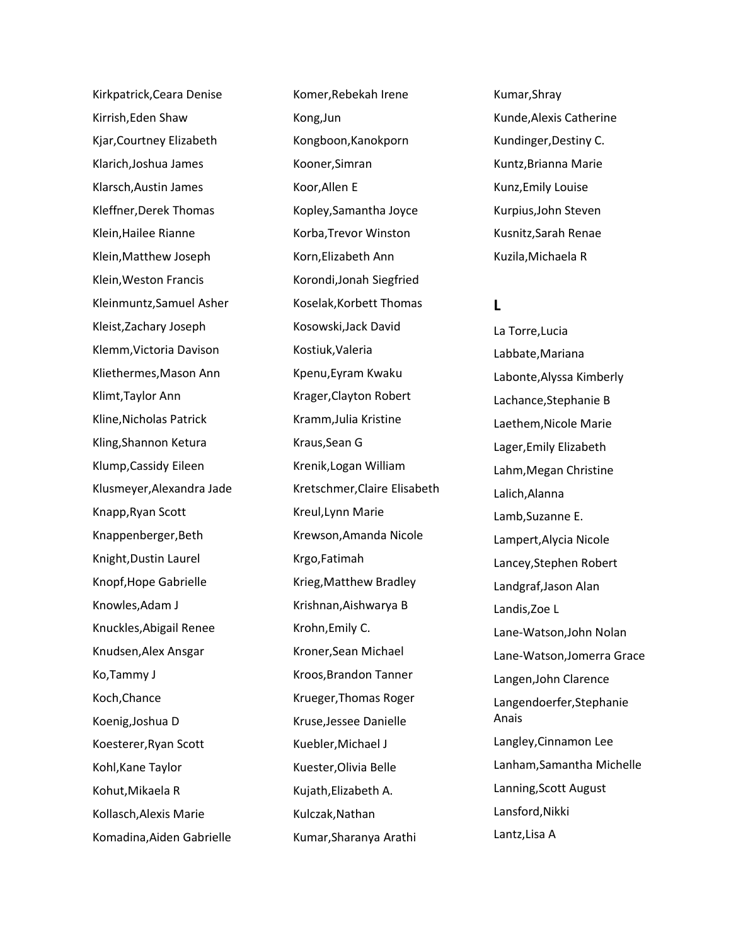Kirkpatrick,Ceara Denise Kirrish,Eden Shaw Kjar,Courtney Elizabeth Klarich,Joshua James Klarsch,Austin James Kleffner,Derek Thomas Klein,Hailee Rianne Klein,Matthew Joseph Klein,Weston Francis Kleinmuntz,Samuel Asher Kleist,Zachary Joseph Klemm,Victoria Davison Kliethermes,Mason Ann Klimt,Taylor Ann Kline,Nicholas Patrick Kling,Shannon Ketura Klump,Cassidy Eileen Klusmeyer,Alexandra Jade Knapp,Ryan Scott Knappenberger,Beth Knight,Dustin Laurel Knopf,Hope Gabrielle Knowles,Adam J Knuckles,Abigail Renee Knudsen,Alex Ansgar Ko,Tammy J Koch,Chance Koenig,Joshua D Koesterer,Ryan Scott Kohl,Kane Taylor Kohut,Mikaela R Kollasch,Alexis Marie Komadina,Aiden Gabrielle

Komer,Rebekah Irene Kong,Jun Kongboon,Kanokporn Kooner,Simran Koor,Allen E Kopley,Samantha Joyce Korba,Trevor Winston Korn,Elizabeth Ann Korondi,Jonah Siegfried Koselak,Korbett Thomas Kosowski,Jack David Kostiuk,Valeria Kpenu,Eyram Kwaku Krager,Clayton Robert Kramm,Julia Kristine Kraus,Sean G Krenik,Logan William Kretschmer,Claire Elisabeth Kreul,Lynn Marie Krewson,Amanda Nicole Krgo,Fatimah Krieg,Matthew Bradley Krishnan,Aishwarya B Krohn,Emily C. Kroner,Sean Michael Kroos,Brandon Tanner Krueger,Thomas Roger Kruse,Jessee Danielle Kuebler,Michael J Kuester,Olivia Belle Kujath,Elizabeth A. Kulczak,Nathan Kumar,Sharanya Arathi

Kumar,Shray Kunde,Alexis Catherine Kundinger,Destiny C. Kuntz,Brianna Marie Kunz,Emily Louise Kurpius,John Steven Kusnitz,Sarah Renae Kuzila,Michaela R

### **L**

La Torre,Lucia Labbate,Mariana Labonte,Alyssa Kimberly Lachance,Stephanie B Laethem,Nicole Marie Lager,Emily Elizabeth Lahm,Megan Christine Lalich,Alanna Lamb,Suzanne E. Lampert,Alycia Nicole Lancey,Stephen Robert Landgraf,Jason Alan Landis,Zoe L Lane-Watson,John Nolan Lane-Watson,Jomerra Grace Langen,John Clarence Langendoerfer,Stephanie Anais Langley,Cinnamon Lee Lanham,Samantha Michelle Lanning,Scott August Lansford,Nikki Lantz,Lisa A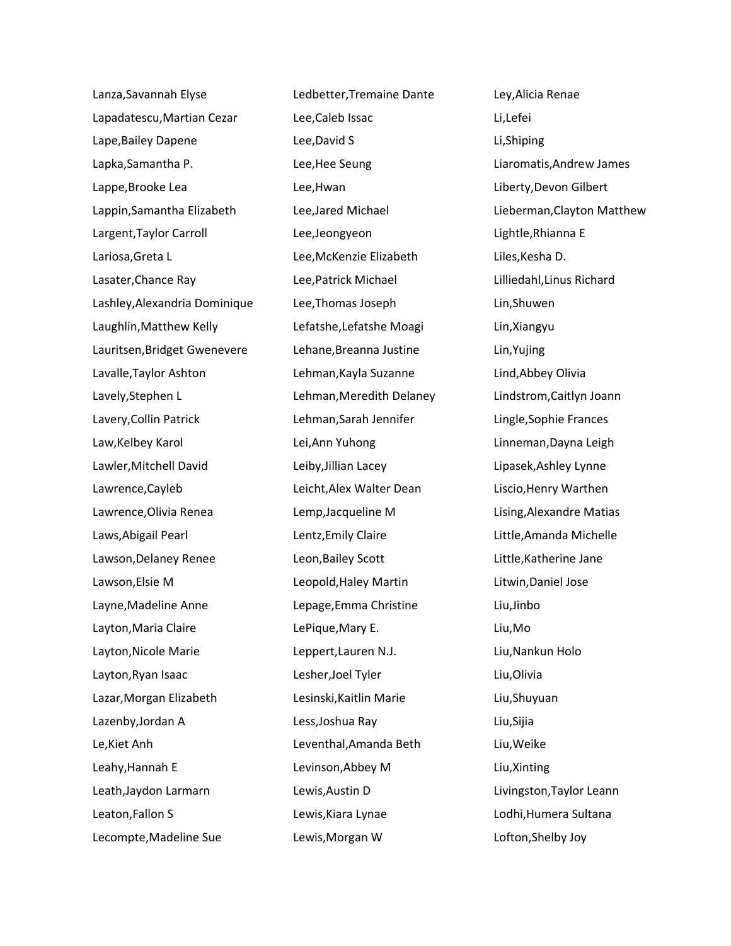Lanza,Savannah Elyse Lapadatescu,Martian Cezar Lape,Bailey Dapene Lapka,Samantha P. Lappe,Brooke Lea Lappin,Samantha Elizabeth Largent,Taylor Carroll Lariosa,Greta L Lasater,Chance Ray Lashley,Alexandria Dominique Laughlin,Matthew Kelly Lauritsen,Bridget Gwenevere Lavalle,Taylor Ashton Lavely,Stephen L Lavery,Collin Patrick Law,Kelbey Karol Lawler,Mitchell David Lawrence,Cayleb Lawrence,Olivia Renea Laws,Abigail Pearl Lawson,Delaney Renee Lawson,Elsie M Layne,Madeline Anne Layton,Maria Claire Layton,Nicole Marie Layton,Ryan Isaac Lazar,Morgan Elizabeth Lazenby,Jordan A Le,Kiet Anh Leahy,Hannah E Leath,Jaydon Larmarn Leaton,Fallon S Lecompte,Madeline Sue

Ledbetter,Tremaine Dante Lee,Caleb Issac Lee,David S Lee,Hee Seung Lee,Hwan Lee,Jared Michael Lee,Jeongyeon Lee,McKenzie Elizabeth Lee,Patrick Michael Lee,Thomas Joseph Lefatshe,Lefatshe Moagi Lehane,Breanna Justine Lehman,Kayla Suzanne Lehman,Meredith Delaney Lehman,Sarah Jennifer Lei,Ann Yuhong Leiby,Jillian Lacey Leicht,Alex Walter Dean Lemp,Jacqueline M Lentz,Emily Claire Leon,Bailey Scott Leopold,Haley Martin Lepage,Emma Christine LePique,Mary E. Leppert,Lauren N.J. Lesher,Joel Tyler Lesinski,Kaitlin Marie Less,Joshua Ray Leventhal,Amanda Beth Levinson,Abbey M Lewis,Austin D Lewis,Kiara Lynae Lewis,Morgan W

Ley,Alicia Renae Li,Lefei Li,Shiping Liaromatis,Andrew James Liberty,Devon Gilbert Lieberman,Clayton Matthew Lightle,Rhianna E Liles,Kesha D. Lilliedahl,Linus Richard Lin,Shuwen Lin,Xiangyu Lin,Yujing Lind,Abbey Olivia Lindstrom,Caitlyn Joann Lingle,Sophie Frances Linneman,Dayna Leigh Lipasek,Ashley Lynne Liscio,Henry Warthen Lising,Alexandre Matias Little,Amanda Michelle Little,Katherine Jane Litwin,Daniel Jose Liu,Jinbo Liu,Mo Liu,Nankun Holo Liu,Olivia Liu,Shuyuan Liu,Sijia Liu,Weike Liu,Xinting Livingston,Taylor Leann Lodhi,Humera Sultana Lofton,Shelby Joy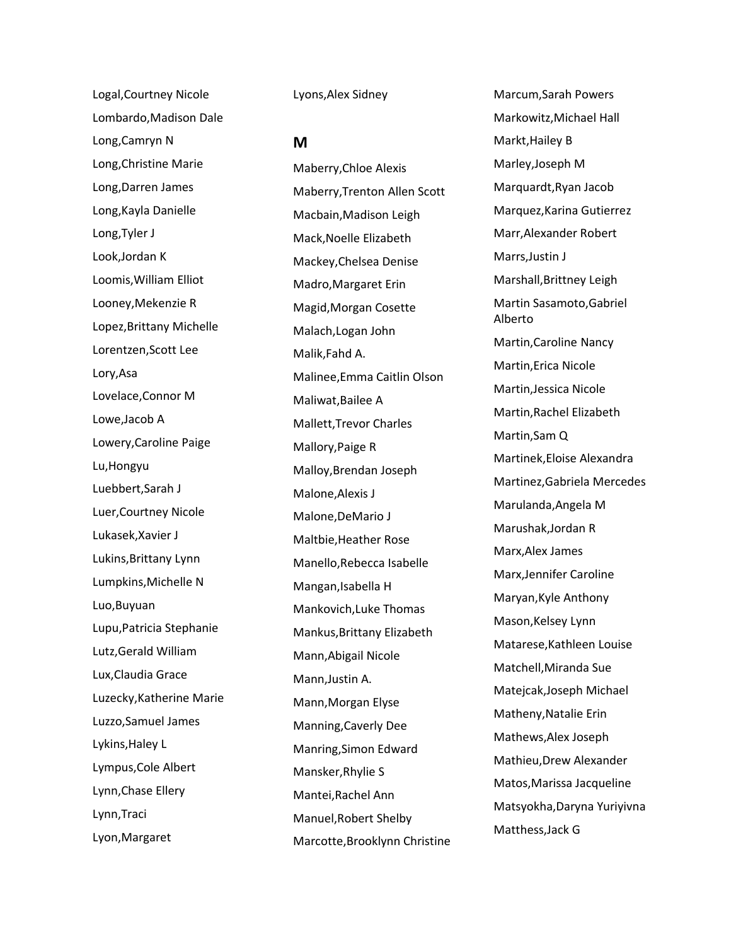Logal,Courtney Nicole Lombardo,Madison Dale Long,Camryn N Long,Christine Marie Long,Darren James Long,Kayla Danielle Long,Tyler J Look,Jordan K Loomis,William Elliot Looney,Mekenzie R Lopez,Brittany Michelle Lorentzen,Scott Lee Lory,Asa Lovelace,Connor M Lowe,Jacob A Lowery,Caroline Paige Lu,Hongyu Luebbert,Sarah J Luer,Courtney Nicole Lukasek,Xavier J Lukins,Brittany Lynn Lumpkins,Michelle N Luo,Buyuan Lupu,Patricia Stephanie Lutz,Gerald William Lux,Claudia Grace Luzecky,Katherine Marie Luzzo,Samuel James Lykins,Haley L Lympus,Cole Albert Lynn,Chase Ellery Lynn,Traci Lyon,Margaret

Lyons,Alex Sidney

**M**

Maberry,Chloe Alexis Maberry,Trenton Allen Scott Macbain,Madison Leigh Mack,Noelle Elizabeth Mackey,Chelsea Denise Madro,Margaret Erin Magid,Morgan Cosette Malach,Logan John Malik,Fahd A. Malinee,Emma Caitlin Olson Maliwat,Bailee A Mallett,Trevor Charles Mallory,Paige R Malloy,Brendan Joseph Malone,Alexis J Malone,DeMario J Maltbie,Heather Rose Manello,Rebecca Isabelle Mangan,Isabella H Mankovich,Luke Thomas Mankus,Brittany Elizabeth Mann,Abigail Nicole Mann,Justin A. Mann,Morgan Elyse Manning,Caverly Dee Manring,Simon Edward Mansker,Rhylie S Mantei,Rachel Ann Manuel,Robert Shelby Marcotte,Brooklynn Christine Marcum,Sarah Powers Markowitz,Michael Hall Markt,Hailey B Marley,Joseph M Marquardt,Ryan Jacob Marquez,Karina Gutierrez Marr,Alexander Robert Marrs,Justin J Marshall,Brittney Leigh Martin Sasamoto,Gabriel Alberto Martin,Caroline Nancy Martin,Erica Nicole Martin,Jessica Nicole Martin,Rachel Elizabeth Martin,Sam Q Martinek,Eloise Alexandra Martinez,Gabriela Mercedes Marulanda,Angela M Marushak,Jordan R Marx,Alex James Marx,Jennifer Caroline Maryan,Kyle Anthony Mason,Kelsey Lynn Matarese,Kathleen Louise Matchell,Miranda Sue Matejcak,Joseph Michael Matheny,Natalie Erin Mathews,Alex Joseph Mathieu,Drew Alexander Matos,Marissa Jacqueline Matsyokha,Daryna Yuriyivna Matthess,Jack G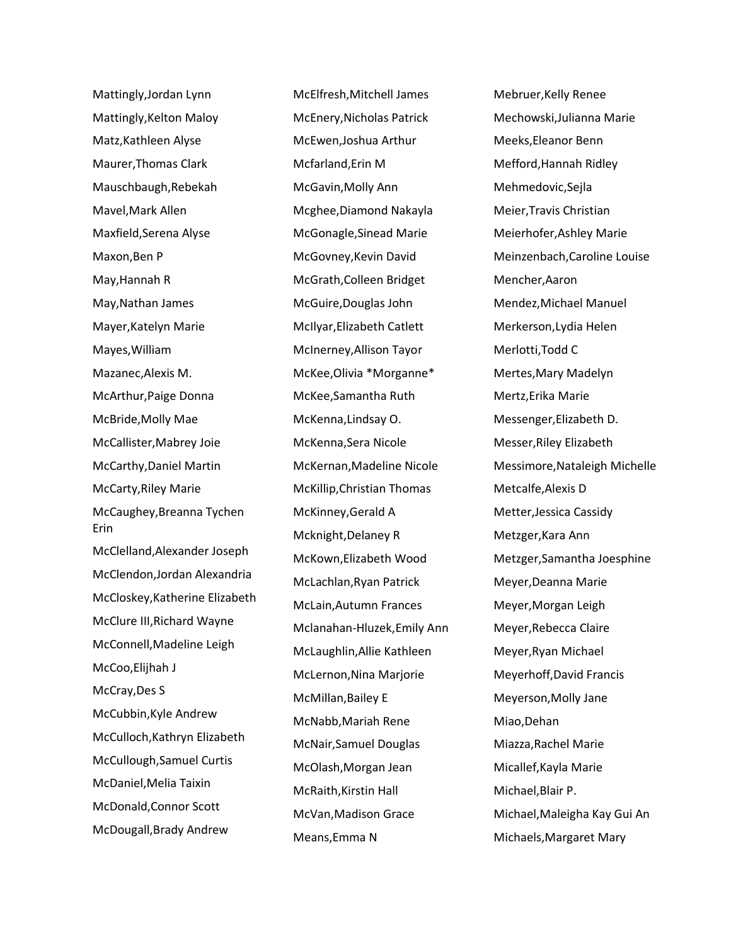Mattingly,Jordan Lynn Mattingly,Kelton Maloy Matz,Kathleen Alyse Maurer,Thomas Clark Mauschbaugh,Rebekah Mavel,Mark Allen Maxfield,Serena Alyse Maxon,Ben P May,Hannah R May,Nathan James Mayer,Katelyn Marie Mayes,William Mazanec,Alexis M. McArthur,Paige Donna McBride,Molly Mae McCallister,Mabrey Joie McCarthy,Daniel Martin McCarty,Riley Marie McCaughey,Breanna Tychen Erin McClelland,Alexander Joseph McClendon,Jordan Alexandria McCloskey,Katherine Elizabeth McClure III,Richard Wayne McConnell,Madeline Leigh McCoo,Elijhah J McCray,Des S McCubbin,Kyle Andrew McCulloch,Kathryn Elizabeth McCullough,Samuel Curtis McDaniel,Melia Taixin McDonald,Connor Scott McDougall,Brady Andrew

McElfresh,Mitchell James McEnery,Nicholas Patrick McEwen,Joshua Arthur Mcfarland,Erin M McGavin,Molly Ann Mcghee,Diamond Nakayla McGonagle,Sinead Marie McGovney,Kevin David McGrath,Colleen Bridget McGuire,Douglas John McIlyar,Elizabeth Catlett McInerney,Allison Tayor McKee,Olivia \*Morganne\* McKee,Samantha Ruth McKenna,Lindsay O. McKenna,Sera Nicole McKernan,Madeline Nicole McKillip,Christian Thomas McKinney,Gerald A Mcknight,Delaney R McKown,Elizabeth Wood McLachlan,Ryan Patrick McLain,Autumn Frances Mclanahan-Hluzek,Emily Ann McLaughlin,Allie Kathleen McLernon,Nina Marjorie McMillan,Bailey E McNabb,Mariah Rene McNair,Samuel Douglas McOlash,Morgan Jean McRaith,Kirstin Hall McVan,Madison Grace Means,Emma N

Mebruer,Kelly Renee Mechowski,Julianna Marie Meeks,Eleanor Benn Mefford,Hannah Ridley Mehmedovic,Sejla Meier,Travis Christian Meierhofer,Ashley Marie Meinzenbach,Caroline Louise Mencher,Aaron Mendez,Michael Manuel Merkerson,Lydia Helen Merlotti,Todd C Mertes,Mary Madelyn Mertz,Erika Marie Messenger,Elizabeth D. Messer,Riley Elizabeth Messimore,Nataleigh Michelle Metcalfe,Alexis D Metter,Jessica Cassidy Metzger,Kara Ann Metzger,Samantha Joesphine Meyer,Deanna Marie Meyer,Morgan Leigh Meyer,Rebecca Claire Meyer,Ryan Michael Meyerhoff,David Francis Meyerson,Molly Jane Miao,Dehan Miazza,Rachel Marie Micallef,Kayla Marie Michael,Blair P. Michael,Maleigha Kay Gui An Michaels,Margaret Mary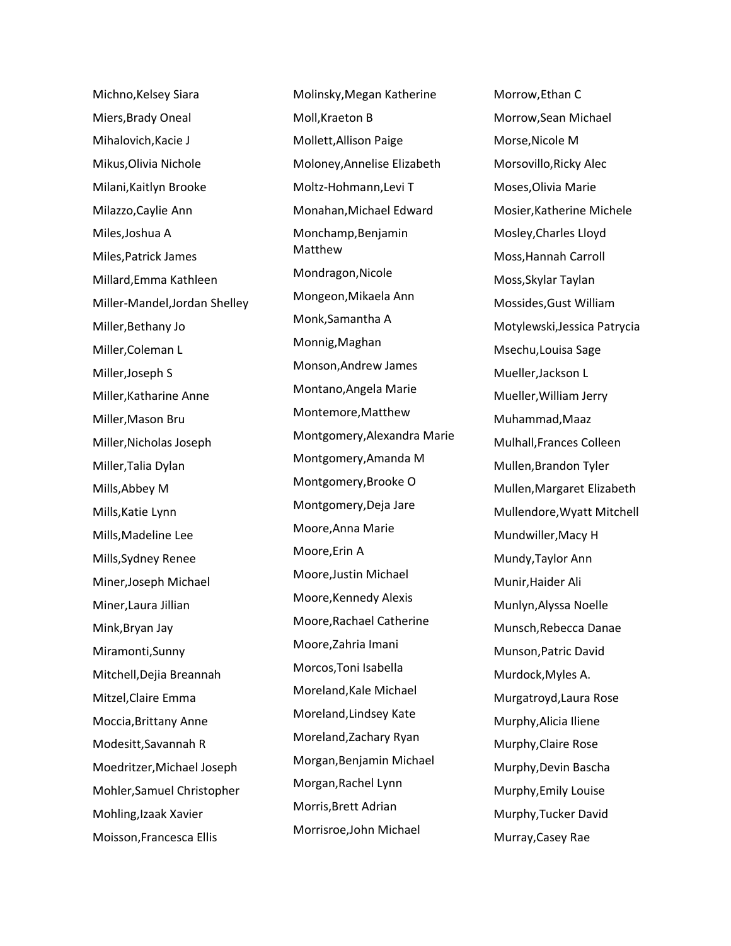Michno,Kelsey Siara Miers,Brady Oneal Mihalovich,Kacie J Mikus,Olivia Nichole Milani,Kaitlyn Brooke Milazzo,Caylie Ann Miles,Joshua A Miles,Patrick James Millard,Emma Kathleen Miller-Mandel,Jordan Shelley Miller,Bethany Jo Miller,Coleman L Miller,Joseph S Miller,Katharine Anne Miller,Mason Bru Miller,Nicholas Joseph Miller,Talia Dylan Mills,Abbey M Mills,Katie Lynn Mills,Madeline Lee Mills,Sydney Renee Miner,Joseph Michael Miner,Laura Jillian Mink,Bryan Jay Miramonti,Sunny Mitchell,Dejia Breannah Mitzel,Claire Emma Moccia,Brittany Anne Modesitt,Savannah R Moedritzer,Michael Joseph Mohler,Samuel Christopher Mohling,Izaak Xavier Moisson,Francesca Ellis

Molinsky,Megan Katherine Moll,Kraeton B Mollett,Allison Paige Moloney,Annelise Elizabeth Moltz-Hohmann,Levi T Monahan,Michael Edward Monchamp,Benjamin Matthew Mondragon,Nicole Mongeon,Mikaela Ann Monk,Samantha A Monnig,Maghan Monson,Andrew James Montano,Angela Marie Montemore,Matthew Montgomery,Alexandra Marie Montgomery,Amanda M Montgomery,Brooke O Montgomery,Deja Jare Moore,Anna Marie Moore,Erin A Moore,Justin Michael Moore,Kennedy Alexis Moore,Rachael Catherine Moore,Zahria Imani Morcos,Toni Isabella Moreland,Kale Michael Moreland,Lindsey Kate Moreland,Zachary Ryan Morgan,Benjamin Michael Morgan,Rachel Lynn Morris,Brett Adrian Morrisroe,John Michael

Morrow,Ethan C Morrow,Sean Michael Morse,Nicole M Morsovillo,Ricky Alec Moses,Olivia Marie Mosier,Katherine Michele Mosley,Charles Lloyd Moss,Hannah Carroll Moss,Skylar Taylan Mossides,Gust William Motylewski,Jessica Patrycia Msechu,Louisa Sage Mueller,Jackson L Mueller,William Jerry Muhammad,Maaz Mulhall,Frances Colleen Mullen,Brandon Tyler Mullen,Margaret Elizabeth Mullendore,Wyatt Mitchell Mundwiller,Macy H Mundy,Taylor Ann Munir,Haider Ali Munlyn,Alyssa Noelle Munsch,Rebecca Danae Munson,Patric David Murdock,Myles A. Murgatroyd,Laura Rose Murphy,Alicia Iliene Murphy,Claire Rose Murphy,Devin Bascha Murphy,Emily Louise Murphy,Tucker David Murray,Casey Rae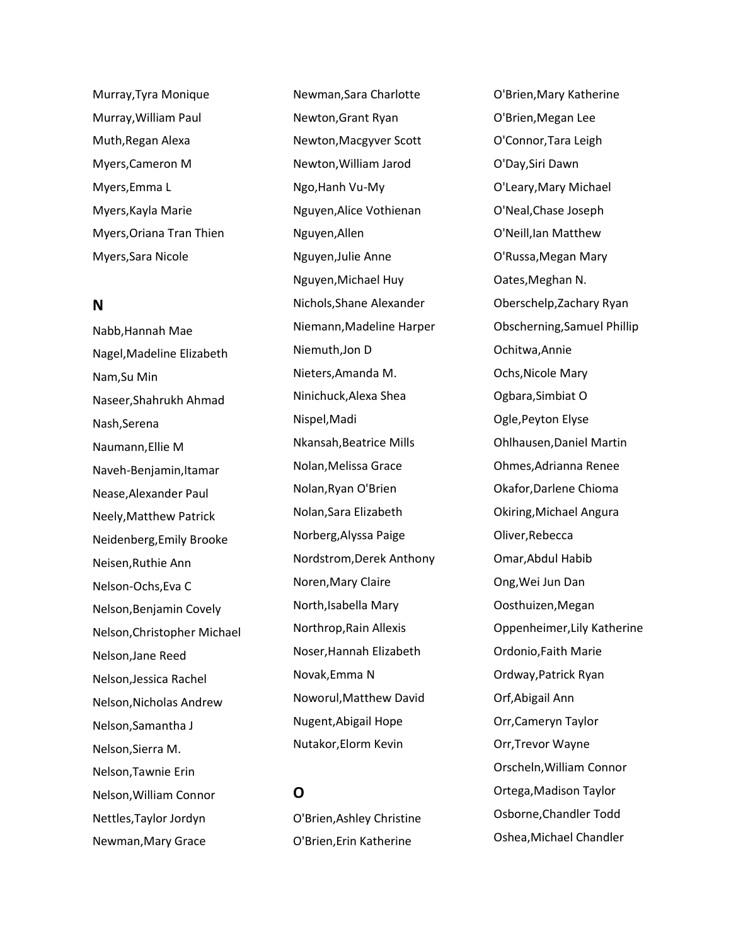Murray,Tyra Monique Murray,William Paul Muth,Regan Alexa Myers,Cameron M Myers,Emma L Myers,Kayla Marie Myers,Oriana Tran Thien Myers,Sara Nicole

#### **N**

Nabb,Hannah Mae Nagel,Madeline Elizabeth Nam,Su Min Naseer,Shahrukh Ahmad Nash,Serena Naumann,Ellie M Naveh-Benjamin,Itamar Nease,Alexander Paul Neely,Matthew Patrick Neidenberg,Emily Brooke Neisen,Ruthie Ann Nelson-Ochs,Eva C Nelson,Benjamin Covely Nelson,Christopher Michael Nelson,Jane Reed Nelson,Jessica Rachel Nelson,Nicholas Andrew Nelson,Samantha J Nelson,Sierra M. Nelson,Tawnie Erin Nelson,William Connor Nettles,Taylor Jordyn Newman,Mary Grace

Newman,Sara Charlotte Newton,Grant Ryan Newton,Macgyver Scott Newton,William Jarod Ngo,Hanh Vu-My Nguyen,Alice Vothienan Nguyen,Allen Nguyen,Julie Anne Nguyen,Michael Huy Nichols,Shane Alexander Niemann,Madeline Harper Niemuth,Jon D Nieters,Amanda M. Ninichuck,Alexa Shea Nispel,Madi Nkansah,Beatrice Mills Nolan,Melissa Grace Nolan,Ryan O'Brien Nolan,Sara Elizabeth Norberg,Alyssa Paige Nordstrom,Derek Anthony Noren,Mary Claire North,Isabella Mary Northrop,Rain Allexis Noser,Hannah Elizabeth Novak,Emma N Noworul,Matthew David Nugent,Abigail Hope Nutakor,Elorm Kevin

## **O**

O'Brien,Ashley Christine O'Brien,Erin Katherine

O'Brien,Mary Katherine O'Brien,Megan Lee O'Connor,Tara Leigh O'Day,Siri Dawn O'Leary,Mary Michael O'Neal,Chase Joseph O'Neill,Ian Matthew O'Russa,Megan Mary Oates,Meghan N. Oberschelp,Zachary Ryan Obscherning,Samuel Phillip Ochitwa,Annie Ochs,Nicole Mary Ogbara,Simbiat O Ogle,Peyton Elyse Ohlhausen,Daniel Martin Ohmes,Adrianna Renee Okafor,Darlene Chioma Okiring,Michael Angura Oliver,Rebecca Omar,Abdul Habib Ong,Wei Jun Dan Oosthuizen,Megan Oppenheimer,Lily Katherine Ordonio,Faith Marie Ordway,Patrick Ryan Orf,Abigail Ann Orr,Cameryn Taylor Orr,Trevor Wayne Orscheln,William Connor Ortega,Madison Taylor Osborne,Chandler Todd Oshea,Michael Chandler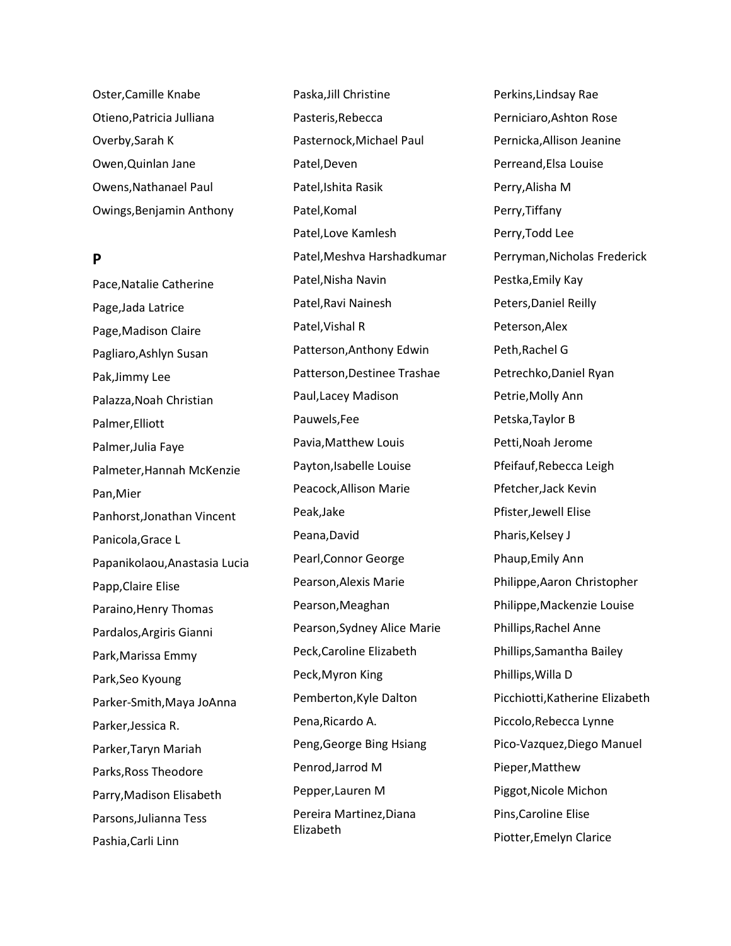Oster,Camille Knabe Otieno,Patricia Julliana Overby,Sarah K Owen,Quinlan Jane Owens,Nathanael Paul Owings,Benjamin Anthony

### **P**

Pace,Natalie Catherine Page,Jada Latrice Page,Madison Claire Pagliaro,Ashlyn Susan Pak,Jimmy Lee Palazza,Noah Christian Palmer,Elliott Palmer,Julia Faye Palmeter,Hannah McKenzie Pan,Mier Panhorst,Jonathan Vincent Panicola,Grace L Papanikolaou,Anastasia Lucia Papp,Claire Elise Paraino,Henry Thomas Pardalos,Argiris Gianni Park,Marissa Emmy Park,Seo Kyoung Parker-Smith,Maya JoAnna Parker,Jessica R. Parker,Taryn Mariah Parks,Ross Theodore Parry,Madison Elisabeth Parsons,Julianna Tess Pashia,Carli Linn

Paska,Jill Christine Pasteris,Rebecca Pasternock,Michael Paul Patel,Deven Patel,Ishita Rasik Patel,Komal Patel,Love Kamlesh Patel,Meshva Harshadkumar Patel,Nisha Navin Patel,Ravi Nainesh Patel,Vishal R Patterson,Anthony Edwin Patterson,Destinee Trashae Paul,Lacey Madison Pauwels,Fee Pavia,Matthew Louis Payton,Isabelle Louise Peacock,Allison Marie Peak,Jake Peana,David Pearl,Connor George Pearson,Alexis Marie Pearson,Meaghan Pearson,Sydney Alice Marie Peck,Caroline Elizabeth Peck,Myron King Pemberton,Kyle Dalton Pena,Ricardo A. Peng,George Bing Hsiang Penrod,Jarrod M Pepper,Lauren M Pereira Martinez,Diana Elizabeth

Perkins,Lindsay Rae Perniciaro,Ashton Rose Pernicka,Allison Jeanine Perreand,Elsa Louise Perry,Alisha M Perry,Tiffany Perry,Todd Lee Perryman,Nicholas Frederick Pestka,Emily Kay Peters,Daniel Reilly Peterson,Alex Peth,Rachel G Petrechko,Daniel Ryan Petrie,Molly Ann Petska,Taylor B Petti,Noah Jerome Pfeifauf,Rebecca Leigh Pfetcher,Jack Kevin Pfister,Jewell Elise Pharis, Kelsey J Phaup,Emily Ann Philippe,Aaron Christopher Philippe,Mackenzie Louise Phillips,Rachel Anne Phillips,Samantha Bailey Phillips,Willa D Picchiotti,Katherine Elizabeth Piccolo,Rebecca Lynne Pico-Vazquez,Diego Manuel Pieper,Matthew Piggot,Nicole Michon Pins,Caroline Elise Piotter,Emelyn Clarice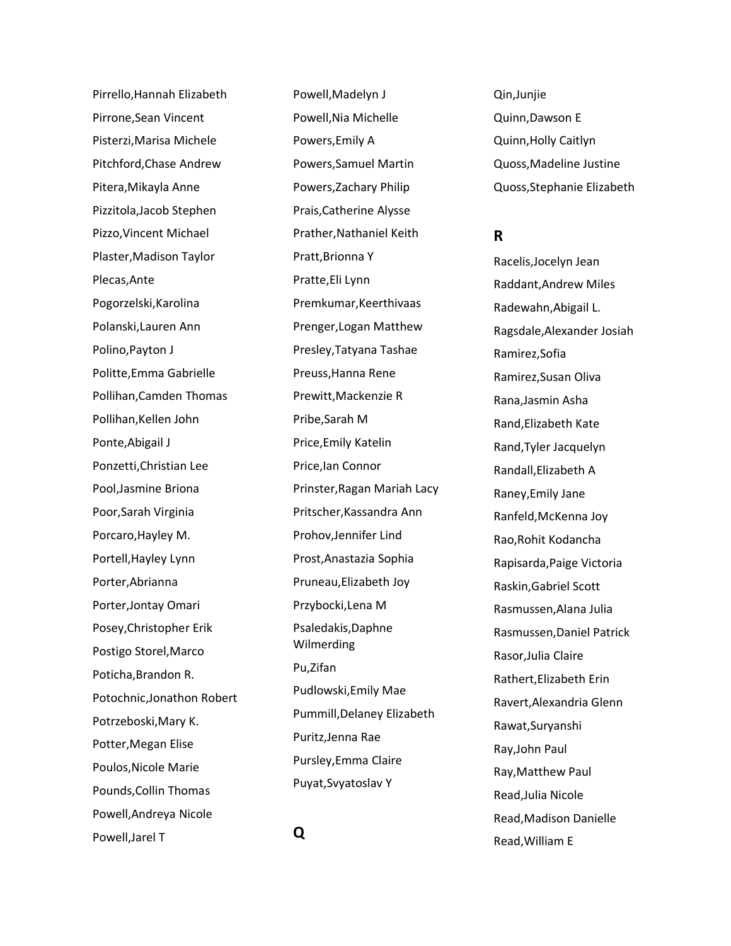Pirrello,Hannah Elizabeth Pirrone,Sean Vincent Pisterzi,Marisa Michele Pitchford,Chase Andrew Pitera,Mikayla Anne Pizzitola,Jacob Stephen Pizzo,Vincent Michael Plaster,Madison Taylor Plecas,Ante Pogorzelski,Karolina Polanski,Lauren Ann Polino,Payton J Politte,Emma Gabrielle Pollihan,Camden Thomas Pollihan,Kellen John Ponte,Abigail J Ponzetti,Christian Lee Pool,Jasmine Briona Poor,Sarah Virginia Porcaro,Hayley M. Portell,Hayley Lynn Porter,Abrianna Porter,Jontay Omari Posey,Christopher Erik Postigo Storel,Marco Poticha,Brandon R. Potochnic,Jonathon Robert Potrzeboski,Mary K. Potter,Megan Elise Poulos,Nicole Marie Pounds,Collin Thomas Powell,Andreya Nicole Powell,Jarel T

Powell,Madelyn J Powell,Nia Michelle Powers,Emily A Powers,Samuel Martin Powers,Zachary Philip Prais,Catherine Alysse Prather,Nathaniel Keith Pratt,Brionna Y Pratte,Eli Lynn Premkumar,Keerthivaas Prenger,Logan Matthew Presley,Tatyana Tashae Preuss,Hanna Rene Prewitt,Mackenzie R Pribe,Sarah M Price,Emily Katelin Price,Ian Connor Prinster,Ragan Mariah Lacy Pritscher,Kassandra Ann Prohov,Jennifer Lind Prost,Anastazia Sophia Pruneau,Elizabeth Joy Przybocki,Lena M Psaledakis,Daphne Wilmerding Pu,Zifan Pudlowski,Emily Mae Pummill,Delaney Elizabeth Puritz,Jenna Rae Pursley,Emma Claire Puyat,Svyatoslav Y

Qin,Junjie Quinn,Dawson E Quinn,Holly Caitlyn Quoss,Madeline Justine Quoss,Stephanie Elizabeth

### **R**

Racelis,Jocelyn Jean Raddant,Andrew Miles Radewahn,Abigail L. Ragsdale,Alexander Josiah Ramirez,Sofia Ramirez,Susan Oliva Rana,Jasmin Asha Rand,Elizabeth Kate Rand,Tyler Jacquelyn Randall,Elizabeth A Raney,Emily Jane Ranfeld,McKenna Joy Rao,Rohit Kodancha Rapisarda,Paige Victoria Raskin,Gabriel Scott Rasmussen,Alana Julia Rasmussen,Daniel Patrick Rasor,Julia Claire Rathert,Elizabeth Erin Ravert,Alexandria Glenn Rawat,Suryanshi Ray,John Paul Ray,Matthew Paul Read,Julia Nicole Read,Madison Danielle Read,William E

**Q**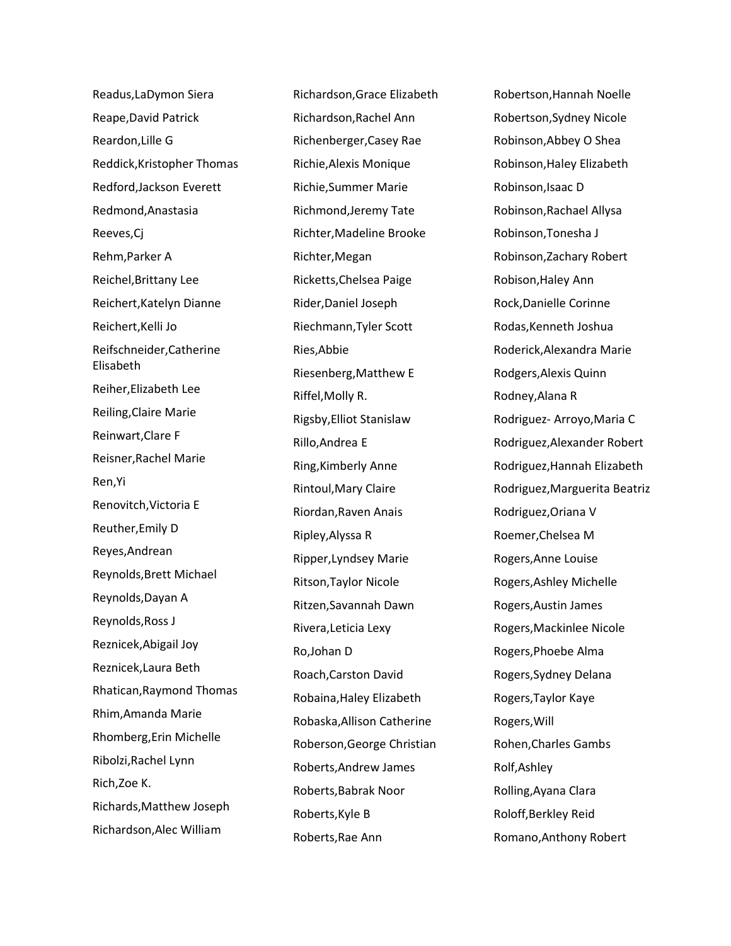Readus,LaDymon Siera Reape,David Patrick Reardon,Lille G Reddick,Kristopher Thomas Redford,Jackson Everett Redmond,Anastasia Reeves,Cj Rehm,Parker A Reichel,Brittany Lee Reichert,Katelyn Dianne Reichert,Kelli Jo Reifschneider,Catherine Elisabeth Reiher,Elizabeth Lee Reiling,Claire Marie Reinwart,Clare F Reisner,Rachel Marie Ren,Yi Renovitch,Victoria E Reuther,Emily D Reyes,Andrean Reynolds,Brett Michael Reynolds,Dayan A Reynolds,Ross J Reznicek,Abigail Joy Reznicek,Laura Beth Rhatican,Raymond Thomas Rhim,Amanda Marie Rhomberg,Erin Michelle Ribolzi,Rachel Lynn Rich,Zoe K. Richards,Matthew Joseph Richardson,Alec William

Richardson,Grace Elizabeth Richardson,Rachel Ann Richenberger,Casey Rae Richie,Alexis Monique Richie,Summer Marie Richmond,Jeremy Tate Richter,Madeline Brooke Richter,Megan Ricketts,Chelsea Paige Rider,Daniel Joseph Riechmann,Tyler Scott Ries,Abbie Riesenberg,Matthew E Riffel,Molly R. Rigsby,Elliot Stanislaw Rillo,Andrea E Ring,Kimberly Anne Rintoul,Mary Claire Riordan,Raven Anais Ripley,Alyssa R Ripper,Lyndsey Marie Ritson,Taylor Nicole Ritzen,Savannah Dawn Rivera,Leticia Lexy Ro,Johan D Roach,Carston David Robaina,Haley Elizabeth Robaska,Allison Catherine Roberson,George Christian Roberts,Andrew James Roberts,Babrak Noor Roberts,Kyle B Roberts,Rae Ann

Robertson,Hannah Noelle Robertson,Sydney Nicole Robinson,Abbey O Shea Robinson,Haley Elizabeth Robinson,Isaac D Robinson,Rachael Allysa Robinson,Tonesha J Robinson,Zachary Robert Robison,Haley Ann Rock,Danielle Corinne Rodas,Kenneth Joshua Roderick,Alexandra Marie Rodgers,Alexis Quinn Rodney,Alana R Rodriguez- Arroyo,Maria C Rodriguez,Alexander Robert Rodriguez,Hannah Elizabeth Rodriguez,Marguerita Beatriz Rodriguez,Oriana V Roemer,Chelsea M Rogers,Anne Louise Rogers,Ashley Michelle Rogers,Austin James Rogers,Mackinlee Nicole Rogers,Phoebe Alma Rogers,Sydney Delana Rogers,Taylor Kaye Rogers,Will Rohen,Charles Gambs Rolf,Ashley Rolling,Ayana Clara Roloff,Berkley Reid Romano,Anthony Robert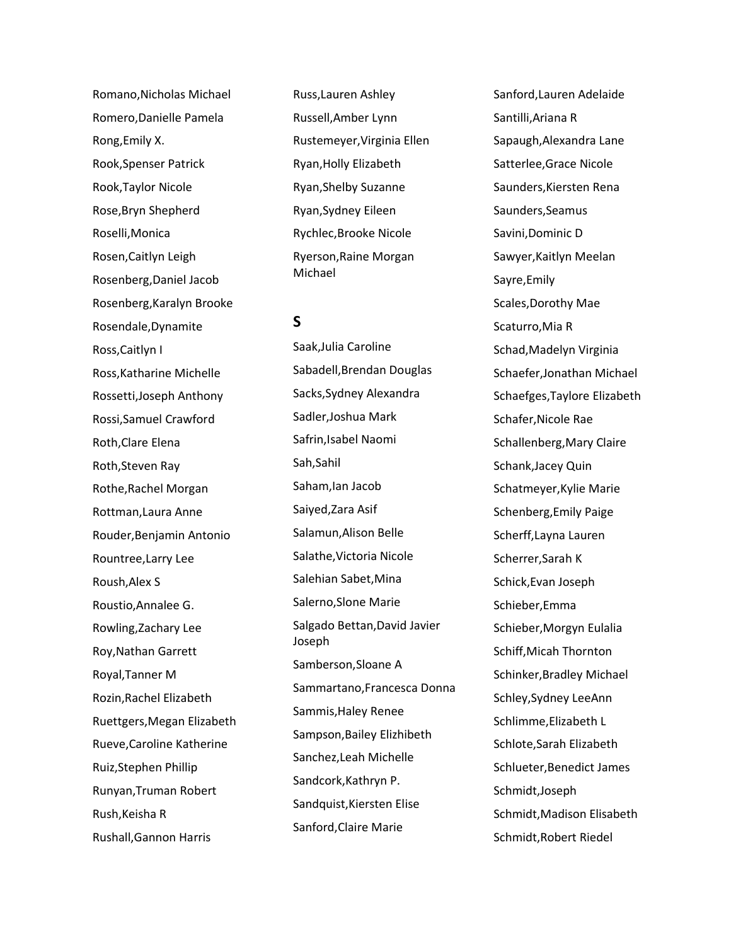Romano,Nicholas Michael Romero,Danielle Pamela Rong,Emily X. Rook,Spenser Patrick Rook,Taylor Nicole Rose,Bryn Shepherd Roselli,Monica Rosen,Caitlyn Leigh Rosenberg,Daniel Jacob Rosenberg,Karalyn Brooke Rosendale,Dynamite Ross,Caitlyn I Ross,Katharine Michelle Rossetti,Joseph Anthony Rossi,Samuel Crawford Roth,Clare Elena Roth,Steven Ray Rothe,Rachel Morgan Rottman,Laura Anne Rouder,Benjamin Antonio Rountree,Larry Lee Roush,Alex S Roustio,Annalee G. Rowling,Zachary Lee Roy,Nathan Garrett Royal,Tanner M Rozin,Rachel Elizabeth Ruettgers,Megan Elizabeth Rueve,Caroline Katherine Ruiz,Stephen Phillip Runyan,Truman Robert Rush,Keisha R Rushall,Gannon Harris

Russ,Lauren Ashley Russell,Amber Lynn Rustemeyer,Virginia Ellen Ryan,Holly Elizabeth Ryan,Shelby Suzanne Ryan,Sydney Eileen Rychlec,Brooke Nicole Ryerson,Raine Morgan Michael

### **S**

Saak,Julia Caroline Sabadell,Brendan Douglas Sacks,Sydney Alexandra Sadler,Joshua Mark Safrin,Isabel Naomi Sah,Sahil Saham,Ian Jacob Saiyed,Zara Asif Salamun,Alison Belle Salathe,Victoria Nicole Salehian Sabet,Mina Salerno,Slone Marie Salgado Bettan,David Javier Joseph Samberson,Sloane A Sammartano,Francesca Donna Sammis,Haley Renee Sampson,Bailey Elizhibeth Sanchez,Leah Michelle Sandcork,Kathryn P. Sandquist,Kiersten Elise Sanford,Claire Marie

Sanford,Lauren Adelaide Santilli,Ariana R Sapaugh,Alexandra Lane Satterlee,Grace Nicole Saunders,Kiersten Rena Saunders,Seamus Savini,Dominic D Sawyer,Kaitlyn Meelan Sayre,Emily Scales,Dorothy Mae Scaturro,Mia R Schad,Madelyn Virginia Schaefer,Jonathan Michael Schaefges,Taylore Elizabeth Schafer,Nicole Rae Schallenberg,Mary Claire Schank,Jacey Quin Schatmeyer,Kylie Marie Schenberg,Emily Paige Scherff,Layna Lauren Scherrer,Sarah K Schick,Evan Joseph Schieber,Emma Schieber,Morgyn Eulalia Schiff,Micah Thornton Schinker,Bradley Michael Schley,Sydney LeeAnn Schlimme,Elizabeth L Schlote,Sarah Elizabeth Schlueter,Benedict James Schmidt,Joseph Schmidt,Madison Elisabeth Schmidt,Robert Riedel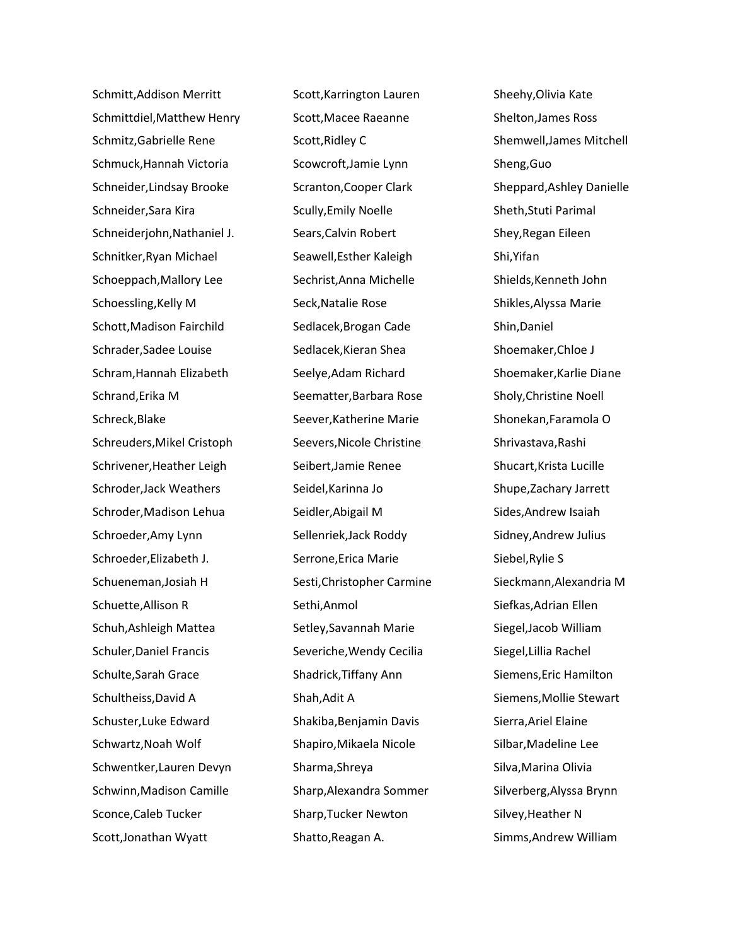Schmitt,Addison Merritt Schmittdiel,Matthew Henry Schmitz,Gabrielle Rene Schmuck,Hannah Victoria Schneider,Lindsay Brooke Schneider,Sara Kira Schneiderjohn,Nathaniel J. Schnitker,Ryan Michael Schoeppach,Mallory Lee Schoessling,Kelly M Schott,Madison Fairchild Schrader,Sadee Louise Schram,Hannah Elizabeth Schrand,Erika M Schreck,Blake Schreuders,Mikel Cristoph Schrivener,Heather Leigh Schroder,Jack Weathers Schroder,Madison Lehua Schroeder,Amy Lynn Schroeder,Elizabeth J. Schueneman,Josiah H Schuette,Allison R Schuh,Ashleigh Mattea Schuler,Daniel Francis Schulte,Sarah Grace Schultheiss,David A Schuster,Luke Edward Schwartz,Noah Wolf Schwentker,Lauren Devyn Schwinn,Madison Camille Sconce,Caleb Tucker Scott,Jonathan Wyatt

Scott,Karrington Lauren Scott,Macee Raeanne Scott,Ridley C Scowcroft,Jamie Lynn Scranton,Cooper Clark Scully,Emily Noelle Sears,Calvin Robert Seawell,Esther Kaleigh Sechrist,Anna Michelle Seck,Natalie Rose Sedlacek,Brogan Cade Sedlacek,Kieran Shea Seelye,Adam Richard Seematter,Barbara Rose Seever,Katherine Marie Seevers,Nicole Christine Seibert,Jamie Renee Seidel,Karinna Jo Seidler,Abigail M Sellenriek,Jack Roddy Serrone,Erica Marie Sesti,Christopher Carmine Sethi,Anmol Setley,Savannah Marie Severiche,Wendy Cecilia Shadrick,Tiffany Ann Shah,Adit A Shakiba,Benjamin Davis Shapiro,Mikaela Nicole Sharma,Shreya Sharp,Alexandra Sommer Sharp,Tucker Newton Shatto,Reagan A.

Sheehy,Olivia Kate Shelton,James Ross Shemwell,James Mitchell Sheng,Guo Sheppard,Ashley Danielle Sheth,Stuti Parimal Shey,Regan Eileen Shi,Yifan Shields,Kenneth John Shikles,Alyssa Marie Shin,Daniel Shoemaker,Chloe J Shoemaker,Karlie Diane Sholy,Christine Noell Shonekan,Faramola O Shrivastava,Rashi Shucart,Krista Lucille Shupe,Zachary Jarrett Sides,Andrew Isaiah Sidney,Andrew Julius Siebel,Rylie S Sieckmann,Alexandria M Siefkas,Adrian Ellen Siegel,Jacob William Siegel,Lillia Rachel Siemens,Eric Hamilton Siemens,Mollie Stewart Sierra,Ariel Elaine Silbar,Madeline Lee Silva,Marina Olivia Silverberg,Alyssa Brynn Silvey,Heather N Simms,Andrew William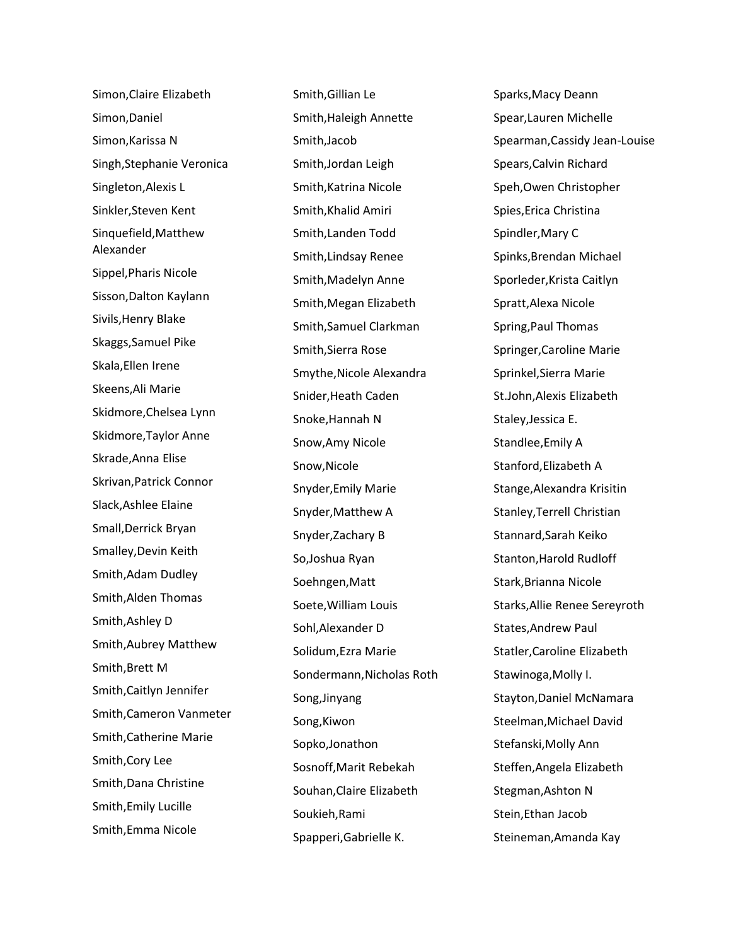Simon,Claire Elizabeth Simon,Daniel Simon,Karissa N Singh,Stephanie Veronica Singleton,Alexis L Sinkler,Steven Kent Sinquefield,Matthew Alexander Sippel,Pharis Nicole Sisson,Dalton Kaylann Sivils,Henry Blake Skaggs,Samuel Pike Skala,Ellen Irene Skeens,Ali Marie Skidmore,Chelsea Lynn Skidmore,Taylor Anne Skrade,Anna Elise Skrivan,Patrick Connor Slack,Ashlee Elaine Small,Derrick Bryan Smalley,Devin Keith Smith,Adam Dudley Smith,Alden Thomas Smith,Ashley D Smith,Aubrey Matthew Smith,Brett M Smith,Caitlyn Jennifer Smith,Cameron Vanmeter Smith,Catherine Marie Smith,Cory Lee Smith,Dana Christine Smith,Emily Lucille Smith,Emma Nicole

Smith,Gillian Le Smith,Haleigh Annette Smith,Jacob Smith,Jordan Leigh Smith,Katrina Nicole Smith,Khalid Amiri Smith,Landen Todd Smith,Lindsay Renee Smith,Madelyn Anne Smith,Megan Elizabeth Smith,Samuel Clarkman Smith,Sierra Rose Smythe,Nicole Alexandra Snider,Heath Caden Snoke,Hannah N Snow,Amy Nicole Snow,Nicole Snyder,Emily Marie Snyder,Matthew A Snyder,Zachary B So,Joshua Ryan Soehngen,Matt Soete,William Louis Sohl,Alexander D Solidum,Ezra Marie Sondermann,Nicholas Roth Song,Jinyang Song,Kiwon Sopko,Jonathon Sosnoff,Marit Rebekah Souhan,Claire Elizabeth Soukieh,Rami Spapperi,Gabrielle K.

Sparks,Macy Deann Spear,Lauren Michelle Spearman,Cassidy Jean-Louise Spears,Calvin Richard Speh,Owen Christopher Spies,Erica Christina Spindler,Mary C Spinks,Brendan Michael Sporleder,Krista Caitlyn Spratt,Alexa Nicole Spring,Paul Thomas Springer,Caroline Marie Sprinkel,Sierra Marie St.John,Alexis Elizabeth Staley,Jessica E. Standlee,Emily A Stanford,Elizabeth A Stange,Alexandra Krisitin Stanley,Terrell Christian Stannard,Sarah Keiko Stanton,Harold Rudloff Stark,Brianna Nicole Starks,Allie Renee Sereyroth States,Andrew Paul Statler,Caroline Elizabeth Stawinoga,Molly I. Stayton,Daniel McNamara Steelman,Michael David Stefanski,Molly Ann Steffen,Angela Elizabeth Stegman,Ashton N Stein,Ethan Jacob Steineman,Amanda Kay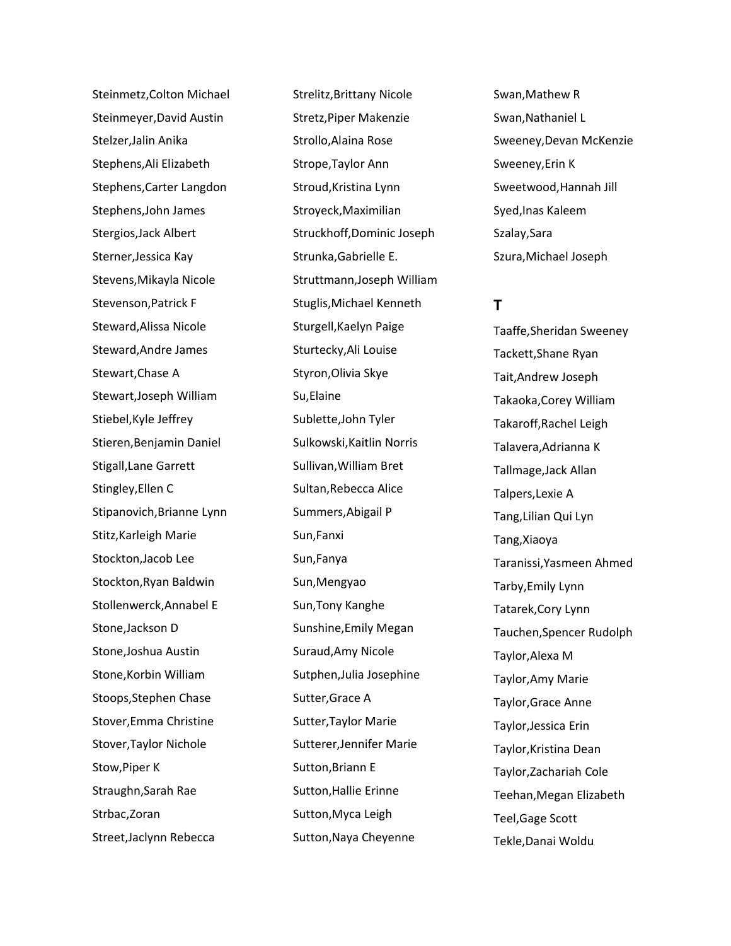Steinmetz,Colton Michael Steinmeyer,David Austin Stelzer,Jalin Anika Stephens,Ali Elizabeth Stephens,Carter Langdon Stephens,John James Stergios,Jack Albert Sterner,Jessica Kay Stevens,Mikayla Nicole Stevenson,Patrick F Steward,Alissa Nicole Steward,Andre James Stewart,Chase A Stewart,Joseph William Stiebel,Kyle Jeffrey Stieren,Benjamin Daniel Stigall,Lane Garrett Stingley,Ellen C Stipanovich,Brianne Lynn Stitz,Karleigh Marie Stockton,Jacob Lee Stockton,Ryan Baldwin Stollenwerck,Annabel E Stone,Jackson D Stone,Joshua Austin Stone,Korbin William Stoops,Stephen Chase Stover,Emma Christine Stover,Taylor Nichole Stow,Piper K Straughn,Sarah Rae Strbac,Zoran Street,Jaclynn Rebecca

Strelitz,Brittany Nicole Stretz,Piper Makenzie Strollo,Alaina Rose Strope,Taylor Ann Stroud,Kristina Lynn Stroyeck,Maximilian Struckhoff,Dominic Joseph Strunka,Gabrielle E. Struttmann,Joseph William Stuglis,Michael Kenneth Sturgell,Kaelyn Paige Sturtecky,Ali Louise Styron,Olivia Skye Su,Elaine Sublette,John Tyler Sulkowski,Kaitlin Norris Sullivan,William Bret Sultan,Rebecca Alice Summers,Abigail P Sun,Fanxi Sun,Fanya Sun,Mengyao Sun,Tony Kanghe Sunshine,Emily Megan Suraud,Amy Nicole Sutphen,Julia Josephine Sutter,Grace A Sutter,Taylor Marie Sutterer,Jennifer Marie Sutton,Briann E Sutton,Hallie Erinne Sutton,Myca Leigh Sutton,Naya Cheyenne

Swan,Mathew R Swan,Nathaniel L Sweeney,Devan McKenzie Sweeney,Erin K Sweetwood,Hannah Jill Syed,Inas Kaleem Szalay,Sara Szura,Michael Joseph

## **T**

Taaffe,Sheridan Sweeney Tackett,Shane Ryan Tait,Andrew Joseph Takaoka,Corey William Takaroff,Rachel Leigh Talavera,Adrianna K Tallmage,Jack Allan Talpers,Lexie A Tang,Lilian Qui Lyn Tang,Xiaoya Taranissi,Yasmeen Ahmed Tarby,Emily Lynn Tatarek,Cory Lynn Tauchen,Spencer Rudolph Taylor,Alexa M Taylor,Amy Marie Taylor,Grace Anne Taylor,Jessica Erin Taylor,Kristina Dean Taylor,Zachariah Cole Teehan,Megan Elizabeth Teel,Gage Scott Tekle,Danai Woldu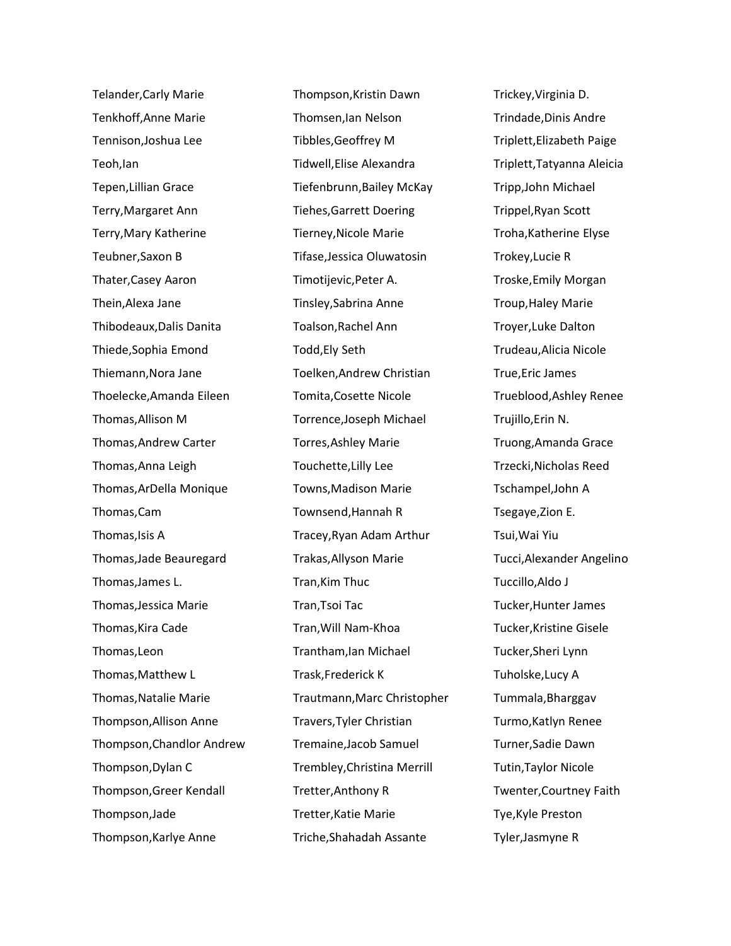Telander,Carly Marie Tenkhoff,Anne Marie Tennison,Joshua Lee Teoh,Ian Tepen,Lillian Grace Terry,Margaret Ann Terry,Mary Katherine Teubner,Saxon B Thater,Casey Aaron Thein,Alexa Jane Thibodeaux,Dalis Danita Thiede,Sophia Emond Thiemann,Nora Jane Thoelecke,Amanda Eileen Thomas,Allison M Thomas,Andrew Carter Thomas,Anna Leigh Thomas,ArDella Monique Thomas,Cam Thomas,Isis A Thomas,Jade Beauregard Thomas,James L. Thomas,Jessica Marie Thomas,Kira Cade Thomas,Leon Thomas,Matthew L Thomas,Natalie Marie Thompson,Allison Anne Thompson,Chandlor Andrew Thompson,Dylan C Thompson,Greer Kendall Thompson,Jade Thompson,Karlye Anne

Thompson,Kristin Dawn Thomsen,Ian Nelson Tibbles,Geoffrey M Tidwell,Elise Alexandra Tiefenbrunn,Bailey McKay Tiehes,Garrett Doering Tierney,Nicole Marie Tifase,Jessica Oluwatosin Timotijevic,Peter A. Tinsley,Sabrina Anne Toalson,Rachel Ann Todd,Ely Seth Toelken,Andrew Christian Tomita,Cosette Nicole Torrence,Joseph Michael Torres,Ashley Marie Touchette,Lilly Lee Towns,Madison Marie Townsend,Hannah R Tracey,Ryan Adam Arthur Trakas,Allyson Marie Tran,Kim Thuc Tran,Tsoi Tac Tran,Will Nam-Khoa Trantham,Ian Michael Trask,Frederick K Trautmann,Marc Christopher Travers,Tyler Christian Tremaine,Jacob Samuel Trembley,Christina Merrill Tretter,Anthony R Tretter,Katie Marie Triche,Shahadah Assante

Trickey,Virginia D. Trindade,Dinis Andre Triplett,Elizabeth Paige Triplett,Tatyanna Aleicia Tripp,John Michael Trippel,Ryan Scott Troha,Katherine Elyse Trokey,Lucie R Troske,Emily Morgan Troup,Haley Marie Troyer,Luke Dalton Trudeau,Alicia Nicole True,Eric James Trueblood,Ashley Renee Trujillo,Erin N. Truong,Amanda Grace Trzecki,Nicholas Reed Tschampel,John A Tsegaye,Zion E. Tsui,Wai Yiu Tucci,Alexander Angelino Tuccillo,Aldo J Tucker,Hunter James Tucker,Kristine Gisele Tucker,Sheri Lynn Tuholske,Lucy A Tummala,Bharggav Turmo,Katlyn Renee Turner,Sadie Dawn Tutin,Taylor Nicole Twenter,Courtney Faith Tye,Kyle Preston Tyler,Jasmyne R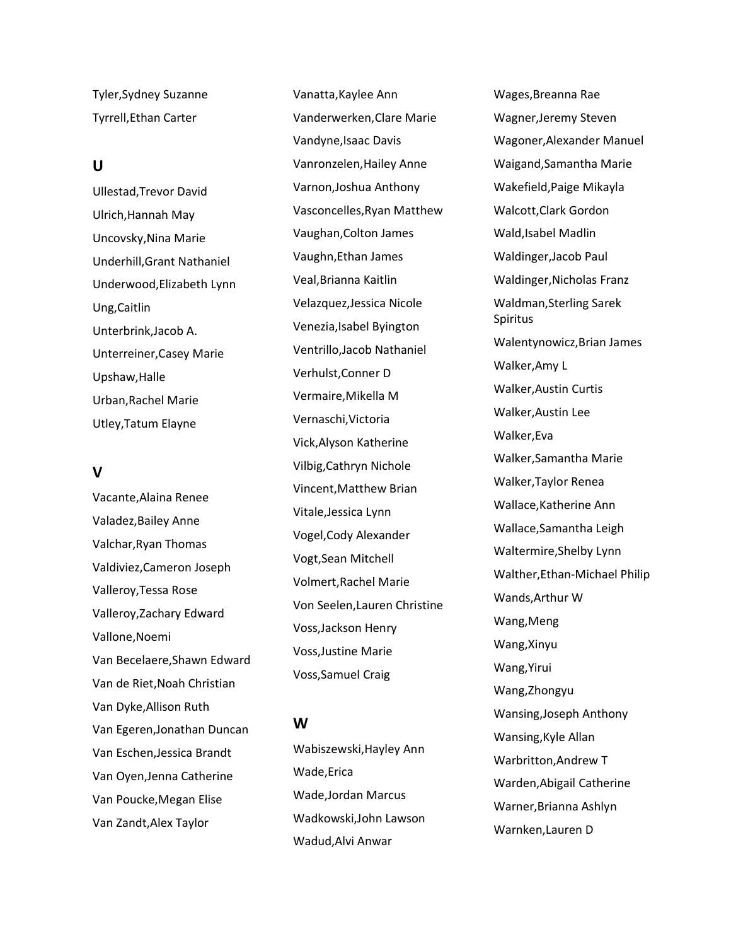Tyler,Sydney Suzanne Tyrrell,Ethan Carter

### **U**

Ullestad,Trevor David Ulrich,Hannah May Uncovsky,Nina Marie Underhill,Grant Nathaniel Underwood,Elizabeth Lynn Ung,Caitlin Unterbrink,Jacob A. Unterreiner,Casey Marie Upshaw,Halle Urban,Rachel Marie Utley,Tatum Elayne

## **V**

Vacante,Alaina Renee Valadez,Bailey Anne Valchar,Ryan Thomas Valdiviez,Cameron Joseph Valleroy,Tessa Rose Valleroy,Zachary Edward Vallone,Noemi Van Becelaere,Shawn Edward Van de Riet,Noah Christian Van Dyke,Allison Ruth Van Egeren,Jonathan Duncan Van Eschen,Jessica Brandt Van Oyen,Jenna Catherine Van Poucke,Megan Elise Van Zandt,Alex Taylor

Vanatta,Kaylee Ann Vanderwerken,Clare Marie Vandyne,Isaac Davis Vanronzelen,Hailey Anne Varnon,Joshua Anthony Vasconcelles,Ryan Matthew Vaughan,Colton James Vaughn,Ethan James Veal,Brianna Kaitlin Velazquez,Jessica Nicole Venezia,Isabel Byington Ventrillo,Jacob Nathaniel Verhulst,Conner D Vermaire,Mikella M Vernaschi,Victoria Vick,Alyson Katherine Vilbig,Cathryn Nichole Vincent,Matthew Brian Vitale,Jessica Lynn Vogel,Cody Alexander Vogt,Sean Mitchell Volmert,Rachel Marie Von Seelen,Lauren Christine Voss,Jackson Henry Voss,Justine Marie Voss,Samuel Craig

## **W**

Wabiszewski,Hayley Ann Wade,Erica Wade,Jordan Marcus Wadkowski,John Lawson Wadud,Alvi Anwar

Wages,Breanna Rae Wagner,Jeremy Steven Wagoner,Alexander Manuel Waigand,Samantha Marie Wakefield,Paige Mikayla Walcott,Clark Gordon Wald,Isabel Madlin Waldinger,Jacob Paul Waldinger,Nicholas Franz Waldman,Sterling Sarek Spiritus Walentynowicz,Brian James Walker,Amy L Walker,Austin Curtis Walker,Austin Lee Walker,Eva Walker,Samantha Marie Walker,Taylor Renea Wallace,Katherine Ann Wallace,Samantha Leigh Waltermire,Shelby Lynn Walther,Ethan-Michael Philip Wands,Arthur W Wang,Meng Wang,Xinyu Wang,Yirui Wang,Zhongyu Wansing,Joseph Anthony Wansing,Kyle Allan Warbritton,Andrew T Warden,Abigail Catherine Warner,Brianna Ashlyn Warnken,Lauren D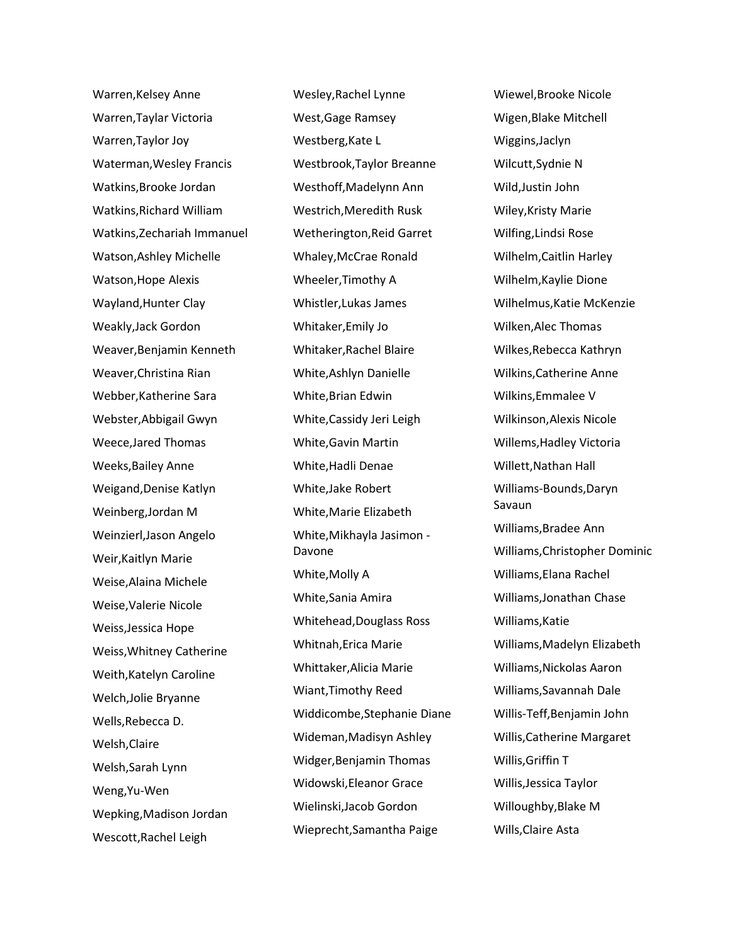Warren,Kelsey Anne Warren,Taylar Victoria Warren,Taylor Joy Waterman,Wesley Francis Watkins,Brooke Jordan Watkins,Richard William Watkins,Zechariah Immanuel Watson,Ashley Michelle Watson,Hope Alexis Wayland,Hunter Clay Weakly,Jack Gordon Weaver,Benjamin Kenneth Weaver,Christina Rian Webber,Katherine Sara Webster,Abbigail Gwyn Weece,Jared Thomas Weeks,Bailey Anne Weigand,Denise Katlyn Weinberg,Jordan M Weinzierl,Jason Angelo Weir,Kaitlyn Marie Weise,Alaina Michele Weise,Valerie Nicole Weiss,Jessica Hope Weiss,Whitney Catherine Weith,Katelyn Caroline Welch,Jolie Bryanne Wells,Rebecca D. Welsh,Claire Welsh,Sarah Lynn Weng,Yu-Wen Wepking,Madison Jordan Wescott,Rachel Leigh

Wesley,Rachel Lynne West,Gage Ramsey Westberg,Kate L Westbrook,Taylor Breanne Westhoff,Madelynn Ann Westrich,Meredith Rusk Wetherington,Reid Garret Whaley,McCrae Ronald Wheeler,Timothy A Whistler,Lukas James Whitaker,Emily Jo Whitaker,Rachel Blaire White,Ashlyn Danielle White,Brian Edwin White,Cassidy Jeri Leigh White,Gavin Martin White,Hadli Denae White,Jake Robert White,Marie Elizabeth White,Mikhayla Jasimon - Davone White,Molly A White,Sania Amira Whitehead,Douglass Ross Whitnah,Erica Marie Whittaker,Alicia Marie Wiant,Timothy Reed Widdicombe,Stephanie Diane Wideman,Madisyn Ashley Widger,Benjamin Thomas Widowski,Eleanor Grace Wielinski,Jacob Gordon Wieprecht,Samantha Paige

Wiewel,Brooke Nicole Wigen,Blake Mitchell Wiggins,Jaclyn Wilcutt,Sydnie N Wild,Justin John Wiley,Kristy Marie Wilfing,Lindsi Rose Wilhelm,Caitlin Harley Wilhelm,Kaylie Dione Wilhelmus,Katie McKenzie Wilken,Alec Thomas Wilkes,Rebecca Kathryn Wilkins,Catherine Anne Wilkins,Emmalee V Wilkinson,Alexis Nicole Willems,Hadley Victoria Willett,Nathan Hall Williams-Bounds,Daryn Savaun Williams,Bradee Ann Williams,Christopher Dominic Williams,Elana Rachel Williams,Jonathan Chase Williams,Katie Williams,Madelyn Elizabeth Williams,Nickolas Aaron Williams,Savannah Dale Willis-Teff,Benjamin John Willis,Catherine Margaret Willis,Griffin T Willis,Jessica Taylor Willoughby,Blake M Wills,Claire Asta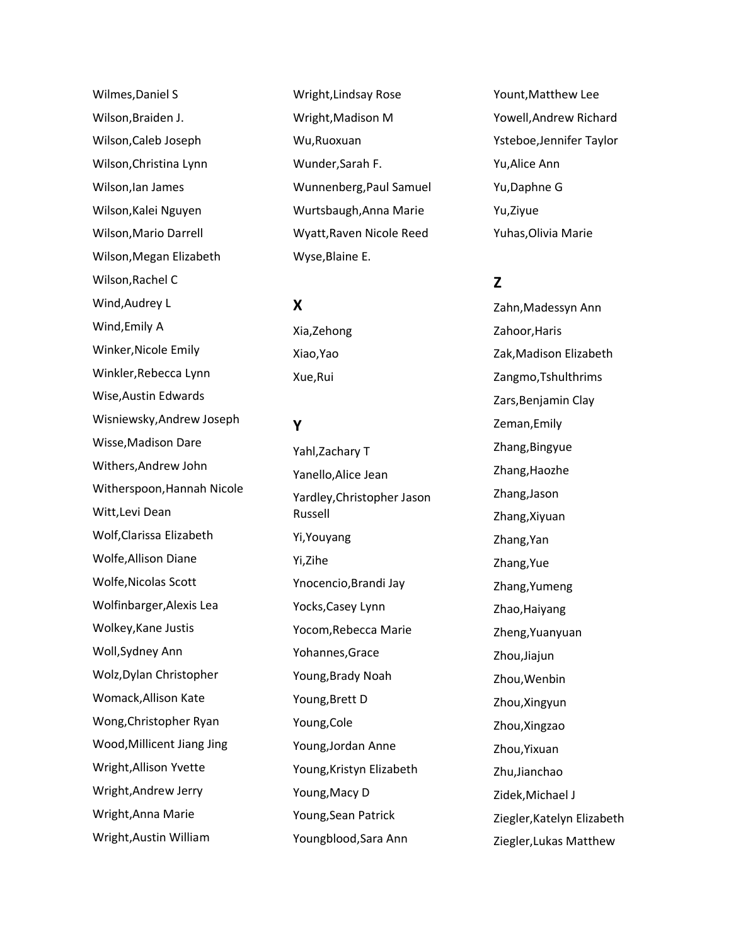Wilmes,Daniel S Wilson,Braiden J. Wilson,Caleb Joseph Wilson,Christina Lynn Wilson,Ian James Wilson,Kalei Nguyen Wilson,Mario Darrell Wilson,Megan Elizabeth Wilson,Rachel C Wind,Audrey L Wind,Emily A Winker,Nicole Emily Winkler,Rebecca Lynn Wise,Austin Edwards Wisniewsky,Andrew Joseph Wisse,Madison Dare Withers,Andrew John Witherspoon,Hannah Nicole Witt,Levi Dean Wolf,Clarissa Elizabeth Wolfe,Allison Diane Wolfe,Nicolas Scott Wolfinbarger,Alexis Lea Wolkey,Kane Justis Woll,Sydney Ann Wolz,Dylan Christopher Womack,Allison Kate Wong,Christopher Ryan Wood,Millicent Jiang Jing Wright,Allison Yvette Wright,Andrew Jerry Wright,Anna Marie Wright,Austin William

Wright,Lindsay Rose Wright,Madison M Wu,Ruoxuan Wunder,Sarah F. Wunnenberg,Paul Samuel Wurtsbaugh,Anna Marie Wyatt,Raven Nicole Reed Wyse,Blaine E.

## **X**

Xia,Zehong Xiao,Yao Xue,Rui

### **Y**

Yahl,Zachary T Yanello,Alice Jean Yardley,Christopher Jason Russell Yi,Youyang Yi,Zihe Ynocencio,Brandi Jay Yocks,Casey Lynn Yocom,Rebecca Marie Yohannes,Grace Young,Brady Noah Young,Brett D Young,Cole Young,Jordan Anne Young,Kristyn Elizabeth Young,Macy D Young,Sean Patrick Youngblood,Sara Ann

Yount,Matthew Lee Yowell,Andrew Richard Ysteboe,Jennifer Taylor Yu,Alice Ann Yu,Daphne G Yu,Ziyue Yuhas,Olivia Marie

# **Z**

Zahn,Madessyn Ann Zahoor,Haris Zak,Madison Elizabeth Zangmo,Tshulthrims Zars,Benjamin Clay Zeman,Emily Zhang,Bingyue Zhang,Haozhe Zhang,Jason Zhang,Xiyuan Zhang,Yan Zhang,Yue Zhang,Yumeng Zhao, Haiyang Zheng,Yuanyuan Zhou,Jiajun Zhou,Wenbin Zhou,Xingyun Zhou,Xingzao Zhou,Yixuan Zhu,Jianchao Zidek,Michael J Ziegler,Katelyn Elizabeth Ziegler,Lukas Matthew